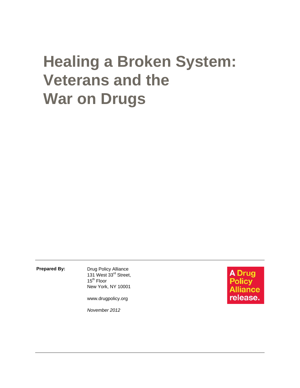# **Healing a Broken System: Veterans and the War on Drugs**

**Prepared By:** Drug Policy Alliance 131 West 33<sup>rd</sup> Street, 15<sup>th</sup> Floor New York, NY 10001

www.drugpolicy.org

*November 2012* 

**A** Drug **Policy Illiance** release.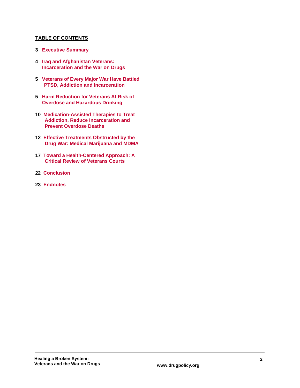## **TABLE OF CONTENTS**

- **3 Executive Summary**
- **4 Iraq and Afghanistan Veterans: Incarceration and the War on Drugs**
- **5 Veterans of Every Major War Have Battled PTSD, Addiction and Incarceration**
- **5 Harm Reduction for Veterans At Risk of Overdose and Hazardous Drinking**
- **10 Medication-Assisted Therapies to Treat Addiction, Reduce Incarceration and Prevent Overdose Deaths**
- **12 Effective Treatments Obstructed by the Drug War: Medical Marijuana and MDMA**
- **17 Toward a Health-Centered Approach: A Critical Review of Veterans Courts**
- **22 Conclusion**
- **23 Endnotes**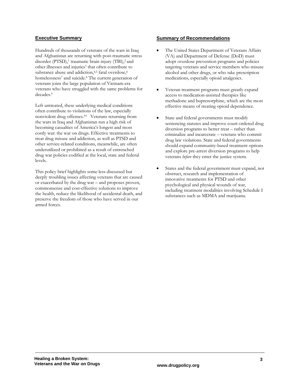## **Executive Summary**

Hundreds of thousands of veterans of the wars in Iraq and Afghanistan are returning with post-traumatic stress disorder (PTSD),<sup>1</sup> traumatic brain injury (TBI),<sup>2</sup> and other illnesses and injuries<sup>3</sup> that often contribute to substance abuse and addiction,<sup>4,5</sup> fatal overdose,<sup>6</sup> homelessness<sup>7</sup> and suicide.<sup>8</sup> The current generation of veterans joins the large population of Vietnam-era veterans who have struggled with the same problems for decades.9

Left untreated, these underlying medical conditions often contribute to violations of the law, especially nonviolent drug offenses.10 Veterans returning from the wars in Iraq and Afghanistan run a high risk of becoming casualties of America's longest and most costly war: the war on drugs. Effective treatments to treat drug misuse and addiction, as well as PTSD and other service-related conditions, meanwhile, are often underutilized or prohibited as a result of entrenched drug war policies codified at the local, state and federal levels.

This policy brief highlights some less-discussed but deeply troubling issues affecting veterans that are caused or exacerbated by the drug war – and proposes proven, commonsense and cost-effective solutions to improve the health, reduce the likelihood of accidental death, and preserve the freedom of those who have served in our armed forces.

#### **Summary of Recommendations**

- The United States Department of Veterans Affairs (VA) and Department of Defense (DoD) must adopt overdose prevention programs and policies targeting veterans and service members who misuse alcohol and other drugs, or who take prescription medications, especially opioid analgesics.
- Veteran treatment programs must greatly expand access to medication-assisted therapies like methadone and buprenorphine, which are the most effective means of treating opioid dependence.
- State and federal governments must modify sentencing statutes and improve court-ordered drug diversion programs to better treat – rather than criminalize and incarcerate – veterans who commit drug law violations. State and federal governments should expand community-based treatment options and explore pre-arrest diversion programs to help veterans *before* they enter the justice system.
- States and the federal government must expand, not obstruct, research and implementation of innovative treatments for PTSD and other psychological and physical wounds of war, including treatment modalities involving Schedule I substances such as MDMA and marijuana.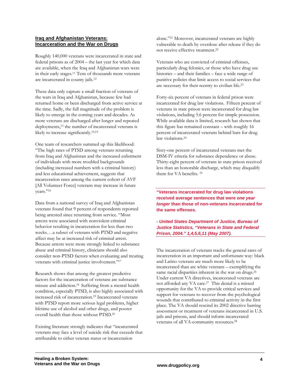## **Iraq and Afghanistan Veterans: Incarceration and the War on Drugs**

Roughly 140,000 veterans were incarcerated in state and federal prisons as of 2004 – the last year for which data are available, when the Iraq and Afghanistan wars were in their early stages.11 Tens of thousands more veterans are incarcerated in county jails.12

These data only capture a small fraction of veterans of the wars in Iraq and Afghanistan, because few had returned home or been discharged from active service at the time. Sadly, the full magnitude of the problem is likely to emerge in the coming years and decades. As more veterans are discharged after longer and repeated deployments,<sup>13</sup> the number of incarcerated veterans is likely to increase significantly.14,15

One team of researchers summed up this likelihood: "The high rates of PTSD among veterans returning from Iraq and Afghanistan and the increased enlistment of individuals with more troubled backgrounds (including increased numbers with a criminal history) and less educational achievement, suggests that incarceration rates among the current cohort of AVF [All Volunteer Force] veterans may increase in future years."16

Data from a national survey of Iraq and Afghanistan veterans found that 9 percent of respondents reported being arrested since returning from service. "Most arrests were associated with nonviolent criminal behavior resulting in incarceration for less than two weeks….a subset of veterans with PTSD and negative affect may be at increased risk of criminal arrest. Because arrests were more strongly linked to substance abuse and criminal history, clinicians should also consider non-PTSD factors when evaluating and treating veterans with criminal justice involvement."17

Research shows that among the greatest predictive factors for the incarceration of veterans are substance misuse and addiction.18 Suffering from a mental health condition, especially PTSD, is also highly associated with increased risk of incarceration.19 Incarcerated veterans with PTSD report more serious legal problems, higher lifetime use of alcohol and other drugs, and poorer overall health than those without PTSD.20

Existing literature strongly indicates that "incarcerated veterans may face a level of suicide risk that exceeds that attributable to either veteran status or incarceration

alone."21 Moreover, incarcerated veterans are highly vulnerable to death by overdose after release if they do not receive effective treatment.22

Veterans who are convicted of criminal offenses, particularly drug felonies, or those who have drug use histories – and their families – face a wide range of punitive policies that limit access to social services that are necessary for their reentry to civilian life.23

Forty-six percent of veterans in federal prison were incarcerated for drug law violations. Fifteen percent of veterans in state prison were incarcerated for drug law violations, including 5.6 percent for simple possession. While available data is limited, research has shown that this figure has remained constant – with roughly 16 percent of incarcerated veterans behind bars for drug law violations.<sup>24</sup>

Sixty-one percent of incarcerated veterans met the DSM-IV criteria for substance dependence or abuse. Thirty-eight percent of veterans in state prison received less than an honorable discharge, which may disqualify them for VA benefits. 25

**"Veterans incarcerated for drug law violations received average sentences that were** *one year longer* **than those of non-veterans incarcerated for the same offenses.** 

*- United States Department of Justice, Bureau of Justice Statistics, "Veterans in State and Federal Prison, 2004." 1,4,5,6,11 (May 2007).* 

The incarceration of veterans tracks the general rates of incarceration in an important and unfortunate way: black and Latino veterans are much more likely to be incarcerated than are white veterans – exemplifying the same racial disparities inherent in the war on drugs.<sup>26</sup> Under current VA directives, incarcerated veterans are not afforded any VA care.27 This denial is a missed opportunity for the VA to provide critical services and support for veterans to recover from the psychological wounds that contributed to criminal activity in the first place. The VA should rescind its 2002 directive barring assessment or treatment of veterans incarcerated in U.S. jails and prisons, and should inform incarcerated veterans of all VA-community resources.28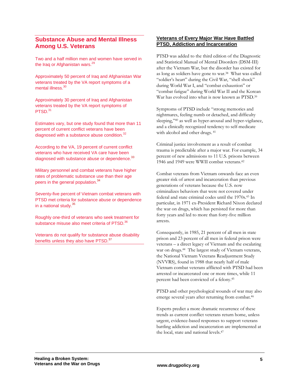# **Substance Abuse and Mental Illness Among U.S. Veterans**

Two and a half million men and women have served in the Iraq or Afghanistan wars.<sup>29</sup>

Approximately 50 percent of Iraq and Afghanistan War veterans treated by the VA report symptoms of a mental illness.<sup>30</sup>

Approximately 30 percent of Iraq and Afghanistan veterans treated by the VA report symptoms of PTSD.<sup>31</sup>

Estimates vary, but one study found that more than 11 percent of current conflict veterans have been diagnosed with a substance abuse condition.<sup>32</sup>

According to the VA, 19 percent of current conflict veterans who have received VA care have been diagnosed with substance abuse or dependence.<sup>33</sup>

Military personnel and combat veterans have higher rates of problematic substance use than their age peers in the general population.<sup>34</sup>

Seventy-five percent of Vietnam combat veterans with PTSD met criteria for substance abuse or dependence in a national study.<sup>35</sup>

Roughly one-third of veterans who seek treatment for substance misuse also meet criteria of PTSD.<sup>36</sup>

Veterans do not qualify for substance abuse disability benefits unless they also have PTSD.<sup>37</sup>

## **Veterans of Every Major War Have Battled PTSD, Addiction and Incarceration**

PTSD was added to the third edition of the Diagnostic and Statistical Manual of Mental Disorders (DSM-III) after the Vietnam War, but the disorder has existed for as long as soldiers have gone to war.38 What was called "soldier's heart" during the Civil War, "shell shock" during World War I, and "combat exhaustion" or "combat fatigue" during World War II and the Korean War has evolved into what is now known as PTSD.<sup>39</sup>

Symptoms of PTSD include "strong memories and nightmares, feeling numb or detached, and difficulty sleeping,"40 as well as hyper-arousal and hyper-vigilance, and a clinically recognized tendency to self-medicate with alcohol and other drugs. 41

Criminal justice involvement as a result of combat trauma is predictable after a major war. For example, 34 percent of new admissions to 11 U.S. prisons between 1946 and 1949 were WWII combat veterans.42

Combat veterans from Vietnam onwards face an even greater risk of arrest and incarceration than previous generations of veterans because the U.S. now criminalizes behaviors that were not covered under federal and state criminal codes until the 1970s.43 In particular, in 1971 ex-President Richard Nixon declared the war on drugs, which has persisted for more than forty years and led to more than forty-five million arrests.

Consequently, in 1985, 21 percent of all men in state prison and 23 percent of all men in federal prison were veterans – a direct legacy of Vietnam and the escalating war on drugs.<sup>44</sup> The largest study of Vietnam veterans, the National Vietnam Veterans Readjustment Study (NVVRS), found in 1988 that nearly half of male Vietnam combat veterans afflicted with PTSD had been arrested or incarcerated one or more times, while 11 percent had been convicted of a felony.45

PTSD and other psychological wounds of war may also emerge several years after returning from combat.46

Experts predict a more dramatic recurrence of these trends as current conflict veterans return home, unless urgent, evidence-based responses to support veterans battling addiction and incarceration are implemented at the local, state and national levels.<sup>47</sup>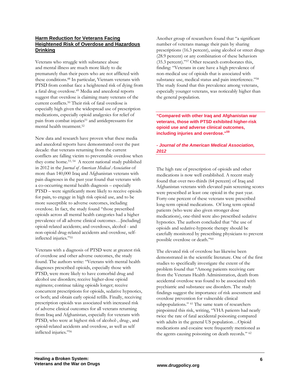## **Harm Reduction for Veterans Facing Heightened Risk of Overdose and Hazardous Drinking**

Veterans who struggle with substance abuse and mental illness are much more likely to die prematurely than their peers who are not afflicted with these conditions.48 In particular, Vietnam veterans with PTSD from combat face a heightened risk of dying from a fatal drug overdose.49 Media and anecdotal reports suggest that overdose is claiming many veterans of the current conflicts.50 Their risk of fatal overdose is especially high given the widespread use of prescription medications, especially opioid analgesics for relief of pain from combat injuries<sup>51</sup> and antidepressants for mental health treatment.52

New data and research have proven what these media and anecdotal reports have demonstrated over the past decade: that veterans returning from the current conflicts are falling victim to preventable overdose when they come home.53, 54 A recent national study published in 2012 in the *Journal of American Medical Association* of more than 140,000 Iraq and Afghanistan veterans with pain diagnoses in the past year found that veterans with a co-occurring mental health diagnosis – especially PTSD – were significantly more likely to receive opioids for pain, to engage in high risk opioid use, and to be more susceptible to adverse outcomes, including overdose. In fact, the study found "those prescribed opioids across all mental health categories had a higher prevalence of all adverse clinical outcomes…[including] opioid-related accidents; and overdoses, alcohol - and non-opioid drug-related accidents and overdose, selfinflected injuries."55

Veterans with a diagnosis of PTSD were at greatest risk of overdose and other adverse outcomes, the study found. The authors write: "Veterans with mental health diagnoses prescribed opioids, especially those with PTSD, were more likely to have comorbid drug and alcohol use disorders; receive higher-dose opioid regimens; continue taking opioids longer; receive concurrent prescriptions for opioids, sedative hypnotics, or both; and obtain early opioid refills. Finally, receiving prescription opioids was associated with increased risk of adverse clinical outcomes for all veterans returning from Iraq and Afghanistan, especially for veterans with PTSD, who were at highest risk of alcohol-, drug-, and opioid-related accidents and overdose, as well as self inflicted injuries."56

Another group of researchers found that "a significant number of veterans manage their pain by sharing prescriptions (16.3 percent), using alcohol or street drugs (28.9 percent) or any combination of these behaviors (35.3 percent)."57 Other research corroborates this, finding: "Veterans in care have a high prevalence of non-medical use of opioids that is associated with substance use, medical status and pain interference."58 The study found that this prevalence among veterans, especially younger veterans, was noticeably higher than the general population.

#### **"Compared with other Iraq and Afghanistan war veterans, those with PTSD exhibited higher-risk opioid use and adverse clinical outcomes, including injuries and overdose."59**

## **-** *Journal of the American Medical Association, 2012*

The high rate of prescription of opioids and other medications is now well established. A recent study found that over two-thirds (64 percent) of Iraq and Afghanistan veterans with elevated pain screening scores were prescribed at least one opioid in the past year. Forty-one percent of these veterans were prescribed long-term opioid medications. Of long term opioid patients (who were also given stronger dose medications), one-third were also prescribed sedative hypnotics. The authors concluded that "the use of opioids and sedative-hypnotic therapy should be carefully monitored by prescribing physicians to prevent possible overdose or death."60

The elevated risk of overdose has likewise been demonstrated in the scientific literature. One of the first studies to specifically investigate the extent of the problem found that "Among patients receiving care from the Veterans Health Administration, death from accidental overdose was found to be associated with psychiatric and substance use disorders. The study findings suggest the importance of risk assessment and overdose prevention for vulnerable clinical subpopulations." <sup>61</sup> The same team of researchers pinpointed this risk, writing, "VHA patients had nearly twice the rate of fatal accidental poisoning compared with adults in the general US population…Opioid medications and cocaine were frequently mentioned as the agents causing poisoning on death records." 62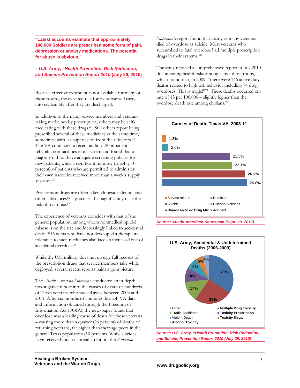**"Latest accounts estimate that approximately 106,000 Soldiers are prescribed some form of pain, depression or anxiety medications. The potential for abuse is obvious."** 

#### *– U.S. Army, "Health Promotion, Risk Reduction, and Suicide Prevention Report 2010* **(July 29, 2010)**

Because effective treamtent is not available for many of these troops, the elevated risk for overdose will carry into civilian life after they are discharged.

In addition to the many service members and veterans taking medicines by prescription, others may be selfmedicating with these drugs.63 Still others report being prescribed several of these medicines at the same time, sometimes with lax supervision from their doctors.<sup>64</sup> The VA conducted a recent audit of 20 inpatient rehabilitation facilities in its system and found that a majority did not have adequate screening policies for new patients, while a significant minority (roughly 10 percent) of patients who are permitted to administer their own narcotics received more than a week's supply at a time.65

Prescription drugs are often taken alongside alcohol and other substances $66$  – practices that significantly raise the risk of overdose.67

The experience of veterans coincides with that of the general population, among whom nonmedical opioid misuse is on the rise and increasingly linked to accidental death.68 Patients who have not developed a therapeutic tolerance to such medicines also face an increased risk of accidental overdose.69

While the U.S. military does not divulge full records of the prescription drugs that service members take while deployed, several recent reports paint a grim picture.

The *Austin American-Statesman* conducted an in-depth investigative report into the causes of death of hundreds of Texas veterans who passed away between 2003 and 2011. After six months of combing through VA data and information obtained through the Freedom of Information Act (FOIA), the newspaper found that overdose was a leading cause of death for these veterans – causing more than a quarter (26 percent) of deaths of returning veterans, far higher than their age peers in the general Texas population (10 percent). While suicides have received much national attention, the *American*- *Statesman's* report found that nearly as many veterans died of overdose as suicide. Most veterans who succumbed to fatal overdose had multiple prescription drugs in their systems.70

The army released a comprehensive report in July 2010 documenting health risks among active-duty troops, which found that, in 2009, "there were 146 active duty deaths related to high risk behavior including 74 drug overdoses. This is tragic!"71 These deaths occurred at a rate of 13 per 100,000 – slightly higher than the overdose death rate among civilians.72







*Source: U.S. Army, "Health Promotion, Risk Reduction, and Suicide Prevention Report 2010 (July 29, 2010)*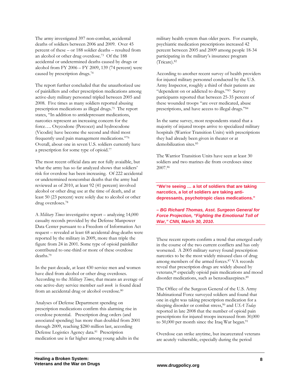The army investigated 397 non-combat, accidental deaths of soldiers between 2006 and 2009. Over 45 percent of these – or 188 soldier deaths – resulted from an alcohol or other drug overdose.73 Of the 188 accidental or undetermined deaths caused by drugs or alcohol from FY 2006 – FY 2009, 139 (74 percent) were caused by prescription drugs.74

The report further concluded that the unauthorized use of painkillers and other prescription medications among active-duty military personnel tripled between 2005 and 2008. Five times as many soldiers reported abusing prescription medications as illegal drugs.75 The report states, "In addition to antidepressant medications, narcotics represent an increasing concern for the force…. Oxycodone (Percocet) and hydrocodone (Vicodin) have become the second and third most frequently used pain management medications."76 Overall, about one in seven U.S. soldiers currently have a prescription for some type of opioid.77

The most recent official data are not fully avaialble, but what the army has so far analyzed shows that soldiers' risk for overdose has been increasing. Of 222 accidental or undetermined noncombat deaths that the army had reviewed as of 2010, at least 92 (41 percent) involved alcohol or other drug use at the time of death, and at least 50 (23 percent) were solely due to alcohol or other drug overdoses.78

A *Military Times* investigative report – analyzing 14,000 casualty records provided by the Defense Manpower Data Center pursuant to a Freedom of Information Act request – revealed at least 68 accidental drug deaths were reported by the military in 2009, more than triple the figure from 24 in 2001. Some type of opioid painkiller contributed to one-third or more of these overdose deaths.79

In the past decade, at least 430 service men and women have died from alcohol or other drug overdoses. According to the *Military Times*, that means an average of one active-duty service member *each week* is found dead from an accidental drug or alcohol overdose.<sup>80</sup>

Analyses of Defense Department spending on prescription medications confirm this alarming rise in overdose potential. Prescription drug orders (and associated spending) has more than doubled from 2001 through 2009, reaching \$280 million last, according Defense Logistics Agency data.81 Prescription medication use is far higher among young adults in the

military health system than older peers. For example, psychiatric medication prescriptions increased 42 percent between 2005 and 2009 among people 18-34 participating in the military's insurance program (Tricare).82

According to another recent survey of health providers for injured military personnel conducted by the U.S. Army Inspector, roughly a third of their patients are "dependent on or addicted to drugs."83 Survey participants reported that between 25-35 percent of these wounded troops "are over medicated, abuse prescriptions, and have access to illegal drugs."84

In the same survey, most respondents stated that a majority of injured troops arrive to specialized military hospitals (Warrior Transition Units) with prescriptions they had already been given in theater or at demobilization sites.85

The Warrior Transition Units have seen at least 30 soldiers and two marines die from overdoses since 2007.86

**"We're seeing … a lot of soldiers that are taking narcotics, a lot of soldiers are taking antidepressants, psychotropic class medications."** 

*– BG Richard Thomas, Asst. Surgeon General for Force Projection, "Fighting the Emotional Toll of War," CNN, March 30, 2010.*

These recent reports confirm a trend that emerged early in the course of the two current conflicts and has only worsened. A 2005 military survey found prescription narcotics to be the most widely misused class of drug among members of the armed forces.87 VA records reveal that prescription drugs are widely abused by veterans,<sup>88</sup> especially opioid pain medications and mood disorder medications, such as benzodiazepines.<sup>89</sup>

The Office of the Surgeon General of the U.S. Army Multinational Force surveyed soldiers and found that one in eight was taking prescription medication for a sleeping disorder or combat stress,<sup>90</sup> and *USA Today* reported in late 2008 that the number of opioid pain prescriptions for injured troops increased from 30,000 to  $50,000$  per month since the Iraq War began.<sup>91</sup>

Overdose can strike anytime, but incarcerated veterans are acutely vulnerable, especially during the period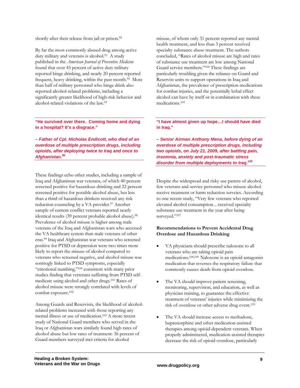shortly after their release from jail or prison.<sup>92</sup>

By far the most commonly abused drug among active duty military and veterans is alcohol.<sup>93</sup> A study published in the *American Journal of Preventive Medicine* found that over 43 percent of active duty military reported binge drinking, and nearly 20 percent reported frequent, heavy drinking, within the past month.<sup>94</sup> More than half of military personnel who binge drink also reported alcohol-related problems, including a significantly greater likelihood of high-risk behavior and alcohol-related violations of the law.95

**"He survived over there. Coming home and dying in a hospital? It's a disgrace."** 

**–** *Father of Cpl. Nicholas Endicott, who died of an overdose of multiple prescription drugs, including opioids, after deploying twice to Iraq and once to Afghanistan.96*

These findings echo other studies, including a sample of Iraq and Afghanistan war veterans, of which 40 percent screened positive for hazardous drinking and 22 percent screened positive for possible alcohol abuse, but less than a third of hazardous drinkers received any risk reduction counseling by a VA provider.<sup>97</sup> Another sample of current conflict veterans reported nearly identical results (39 percent probable alcohol abuse).<sup>98</sup> Prevalence of alcohol misuse is higher among male veterans of the Iraq and Afghanistan wars who accessed the VA healthcare system than male veterans of other eras.99 Iraq and Afghanistan war veterans who screened positive for PTSD or depression were two times more likely to report the misuse of alcohol compared to veterans who screened negative, and alcohol misuse was sontrogly linked to PTSD symptoms, especially "emotional numbing,"100 consistent with many prior studies finding that vetrerans suffering from PTSD selfmedicate using alcohol and other drugs.101 Rates of alcohol misuse were strongly correlated with levels of combat exposure.102

Among Guards and Reservists, the likelihood of alcoholrelated problems increased with those reporting any mental illness or use of medication.103 A more recent study of National Guard members who served in the Iraq or Afghanistan wars similarly found high rates of alcohol abuse but low rates of treatment: 36 percent of Guard members surveyed met criteria for alcohol

misuse, of whom only 31 percent reported any mental health treatment, and less than 3 percent received specialty substance abuse treatment. The authors concluded, "Rates of alcohol misuse are high and rates of substance use treatment are low among National Guard service members."104 These findings are particularly troubling given the reliance on Guard and Reservist units to support operations in Iraq and Afghanistan, the prevalence of prescription medications for combat injuries, and the potentially lethal effect alcohol can have by itself or in combination with these medications.105

**"I have almost given up hope…I should have died in Iraq."** 

*– Senior Airman Anthony Mena, before dying of an overdose of multiple prescription drugs, including two opioids, on July 21, 2009, after battling pain, insomnia, anxiety and post-traumatic stress disorder from multiple deployments to Iraq.106*

Despite the widespread and risky use patters of alcohol, few veterans and service personnel who misuse alcohol receive treatment or harm reduction servcies. According to one recent study, "Very few veterans who reported elevated alcohol consumption…received specialty substance use treatment in the year after being surveyed."107

#### **Recommendations to Prevent Accidental Drug Overdose and Hazardous Drinking**

- VA physicians should prescribe naloxone to all veterans who are taking opioid pain medications.108,109 Naloxone is an opioid antagonist medication that reverses the respiratory failure that commonly causes death from opioid overdose.
- The VA should improve patient screening, monitoring, supervision, and education, as well as physician training, to guarantee the effective treatment of veterans' injuries while minimizing the risk of overdose or other adverse drug event.110
- The VA should increase access to methadone, buprenorphine and other medication-assisted therapies among opioid-dependent veterans. When properly administered, medication-assisted therapies decrease the risk of opioid overdose, particularly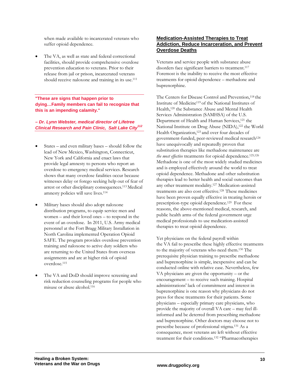when made available to incarcerated veterans who suffer opioid dependence.

 The VA, as well as state and federal correctional facilities, should provide comprehensive overdose prevention education to veterans. Prior to their release from jail or prison, incarcerated veterans should receive naloxone and training in its use.<sup>111</sup>

**"These are signs that happen prior to dying…Family members can fail to recognize that this is an impending calamity."** 

*– Dr. Lynn Webster, medical director of Lifetree Clinical Research and Pain Clinic, Salt Lake City112*

- States and even military bases should follow the lead of New Mexico, Washington, Connecticut, New York and California and enact laws that provide legal amnesty to persons who report an overdose to emergency medical services. Research shows that many overdose fatalities occur because witnesses delay or forego seeking help out of fear of arrest or other disciplinary consequences.113 Medical amnesty policies will save lives.114
- Military bases should also adopt naloxone distribution programs, to equip service men and women – and their loved ones – to respond in the event of an overdose. In 2011, U.S. Army medical personnel at the Fort Bragg Military Installation in North Carolina implemented Operation Opioid SAFE. The program provides overdose prevention training and naloxone to active duty soldiers who are returning to the United States from overseas assignments and are at higher risk of opioid overdose.115
- The VA and DoD should improve screening and risk reduction counseling programs for people who misuse or abuse alcohol.116

## **Medication-Assisted Therapies to Treat Addiction, Reduce Incarceration, and Prevent Overdose Deaths**

Veterans and service people with substance abuse disorders face significant barriers to treatment.<sup>117</sup> Foremost is the inability to receive the most effective treatments for opioid dependence – methadone and buprenorphine.

The Centers for Disease Control and Prevention,<sup>118</sup> the Institute of Medicine119 of the National Institutes of Health,120 the Substance Abuse and Mental Health Services Administration (SAMHSA) of the U.S. Department of Health and Human Services,<sup>121</sup> the National Institute on Drug Abuse (NIDA),122 the World Health Organization,<sup>123</sup> and over four decades of government-funded, peer-reviewed medical research<sup>124</sup> have unequivocally and repeatedly proven that substitution therapies like methadone maintenance are *the most effective* treatments for opioid dependence.125,126 Methadone is one of the most widely studied medicines and is employed effectively around the world to treat opioid dependence. Methadone and other substitution therapies lead to better health and social outcomes than any other treatment modality.127 Medication-assisted treatments are also cost effective.128 These medicines have been proven equally effective in treating heroin or prescription-type opioid dependence.129 For these reasons, the above-mentioned medical, research, and public health arms of the federal government urge medical professionals to use medication-assisted therapies to treat opioid dependence.

Yet physicians on the federal payroll within the VA fail to prescribe these highly effective treatments to the majority of veterans who need them.130 The prerequisite physician training to prescribe methadone and buprenorphine is simple, inexpensive and can be conducted online with relative ease. Nevertheless, few VA physicians are given the opportunity – or the encouragement – to receive such training. Hospital administrations' lack of commitment and interest in buprenorphine is one reason why physicians do not press for these treatments for their patients. Some physicians – especially primary care physicians, who provide the majority of overall VA care – may feel illinformed and be deterred from prescribing methadone and buprenorphine. Other doctors may choose not to prescribe because of professional stigma.131 As a consequence, most veterans are left without effective treatment for their conditions.132 "Pharmacotherapies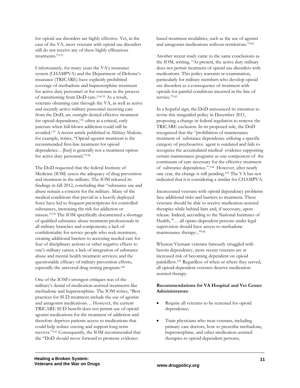for opioid use disorders are highly effective. Yet, in the case of the VA, most veterans with opioid use disorders still do not receive any of these highly efficacious treatments."133

Unfortunately, for many years the VA's insurance system (CHAMPVA) and the Department of Defense's insurance (TRICARE) have explicitly prohibited coverage of methadone and buprenorphine treatment for active duty personnel or for veterans in the process of transitioning from DoD care.134135 As a result, veterans obtaining care through the VA, as well as active and recently active military personnel receiving care from the DoD, are outright denied effective treatment for opioid dependence,136 often at a critical, early juncture when full-blown addiction could still be avoided.137 A recent article published in *Military Medicine,*  for example, writes, "Opioid agonist treatment is the recommended first-line treatment for opioid dependence…[but] is generally not a treatment option for active duty personnel."138

The DoD requested that the federal Institute of Medicine (IOM) assess the adequacy of drug prevention and treatment in the military. The IOM released its findings in fall 2012, concluding that "substance use and abuse remain a concern for the military. Many of the medical conditions that prevail in a heavily deployed force have led to frequent prescriptions for controlled substances, increasing the risk for addiction or misuse."139 The IOM specifically documented a shortage of qualified substance abuse treatment professionals in all military branches and components; a lack of confidentiality for service people who seek treatment, creating additional barriers to accessing needed care for fear of disciplinary actions or other negative effects to one's military career; a lack of integration of substance abuse and mental health treatment services; and the questionable efficacy of military prevention efforts, especially the universal drug testing program.140

One of the IOM's strongest critiques was of the military's denial of medication-assisted treatments like methadone and buprenorphine. The IOM writes, "Best practices for SUD treatment include the use of agonist and antagonist medications… However, the current TRICARE SUD benefit does not permit use of opioid agonist medications for the treatment of addiction and therefore deprives patients access to medications that could help reduce craving and support long-term recover."141 Consequently, the IOM recommended that the "DoD should move forward to promote evidencebased treatment modalities, such as the use of agonist and antagonist medications without restrictions."142

Another recent study came to the same conclusions as the IOM, writing, "At present, the active duty military does not permit treatment of opioid use disorders with medications. This policy warrants re-examination, particularly for military members who develop opioid use disorders as a consequence of treatment with opioids for painful conditions incurred in the line of service."143

In a hopeful sign, the DoD announced its intention to revise this misguided policy in December 2011, proposing a change in federal regulation to remove the TRICARE exclusion. In its proposed rule, the DoD recognized that the "prohibition of maintenance treatment of substance dependence utilizing a specific category of psychoactive agent is outdated and fails to recognize the accumulated medical evidence supporting certain maintenance programs as one component of the continuum of care necessary for the effective treatment of substance dependence.".144 However, after nearly one year, the change is still pending.145 The VA has not indicated that it is considering a similar for CHAMPVA.

Incarcerated veterans with opioid dependency problems face additional risks and barriers to treatment. These veterans should be able to receive medication-assisted therapies while behind bars and, if necessary, upon release. Indeed, according to the National Institutes of Health, "… all opiate-dependent persons under legal supervision should have access to methadone maintenance therapy..."146

Whereas Vietnam veterans famously struggled with heroin dependency, more recent veterans are at increased risk of becoming dependent on opioid painkillers.147 Regardless of when or where they served, all opioid-dependent veterans deserve medicationassisted therapy.

#### **Recommendations for VA Hospital and Vet Center Administrators:**

- Require all veterans to be screened for opioid dependence;
- Train physicians who treat veterans, including primary care doctors, how to prescribe methadone, buprenorphine, and other medication-assisted therapies to opioid-dependent persons;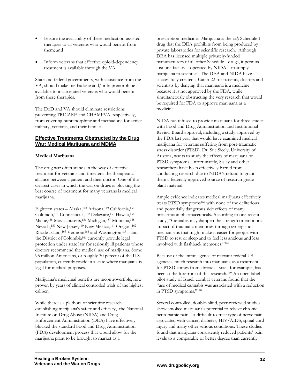- Ensure the availability of these medication-assisted therapies to all veterans who would benefit from them; and
- Inform veterans that effective opioid-dependency treatment is available through the VA.

State and federal governments, with assistance from the VA, should make methadone and/or buprenorphine available to incarcerated veterans who would benefit from these therapies.

The DoD and VA should eliminate restrictions preventing TRICARE and CHAMPVA, respectively, from covering buprenorphine and methadone for active military, veterans, and their families.

## **Effective Treatments Obstructed by the Drug War: Medical Marijuana and MDMA**

#### **Medical Marijuana**

The drug war often stands in the way of effective treatment for veterans and threatens the therapeutic alliance between a patient and their doctor. One of the clearest cases in which the war on drugs is blocking the best course of treatment for many veterans is medical marijuana.

Eighteen states – Alaska,<sup>148</sup> Arizona,<sup>149</sup> California,<sup>150</sup> Colorado,151 Connecticut ,152 Delaware,153 Hawaii,154 Maine,<sup>155</sup> Massachusetts,<sup>156</sup> Michigan,<sup>157</sup> Montana,<sup>158</sup> Nevada,<sup>159</sup> New Jersey,<sup>160</sup> New Mexico,<sup>161</sup> Oregon,<sup>162</sup> Rhode Island,<sup>163</sup> Vermont<sup>164</sup> and Washington<sup>165</sup> – and the District of Columbia166 currently provide legal protection under state law for seriously ill patients whose doctors recommend the medical use of marijuana. Some 95 million Americans, or roughly 30 percent of the U.S. population, currently reside in a state where marijuana is legal for medical purposes.

Marijuana's medicinal benefits are incontrovertible, now proven by years of clinical controlled trials of the highest caliber.

While there is a plethora of scientific research establishing marijuana's safety and efficacy, the National Institute on Drug Abuse (NIDA) and Drug Enforcement Administration (DEA) have effectively blocked the standard Food and Drug Administration (FDA) development process that would allow for the marijuana plant to be brought to market as a

prescription medicine. Marijuana is the *only* Schedule I drug that the DEA prohibits from being produced by private laboratories for scientific research. Although DEA has licensed multiple privately-funded manufacturers of all other Schedule I drugs, it permits just one facility – operated by NIDA – to supply marijuana to scientists. The DEA and NIDA have successfully created a Catch-22 for patients, doctors and scientists by denying that marijuana is a medicine because it is not approved by the FDA, while simultaneously obstructing the very research that would be required for FDA to approve marijuana as a medicine.

NIDA has refused to provide marijuana for three studies with Food and Drug Administration and Institutional Review Board approval, including a study approved by the FDA last year that would have examined medical marijuana for veterans suffering from post-traumatic stress disorder (PTSD). Dr. Sue Sicely, University of Arizona, wants to study the effects of marijuana on PTSD symptoms.Unfortunately, Sisley and other researchers have been effectively barred from conducting research due to NIDA's refusal to grant them a federally-approved source of research-grade plant material.

Ample evidence indicates medical marijuana effectively treats PTSD symptoms<sup>167</sup> with none of the deliterious and potentially dangerous side effects of many prescription pharmaceuticals. According to one recent study, "Cannabis may dampen the strength or emotional impact of traumatic memories through synergistic mechanisms that might make it easier for people with PTSD to rest or sleep and to feel less anxious and less involved with flashback memories."168

Because of the intransigence of relevant federal US agencies, much research into marijuana as a treatment for PTSD comes from abroad. Israel, for example, has been at the forefront of this research.169 An open-label pilot study of Israeli combat veterans found that the "use of medical cannabis was associated with a reduction in PTSD symptoms."170

Several controlled, double-blind, peer-reviewed studies show smoked marijuana's potential to relieve chronic, neuropathic pain – a difficult-to-treat type of nerve pain associated with cancer, diabetes, HIV/AIDS, spinal cord injury and many other serious conditions. These studies found that marijuana consistently reduced patients' pain levels to a comparable or better degree than currently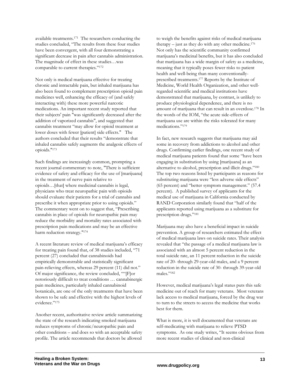available treatments.171 The researchers conducting the studies concluded, "The results from these four studies have been convergent, with all four demonstrating a significant decrease in pain after cannabis administration. The magnitude of effect in these studies…was comparable to current therapies."172

Not only is medical marijuana effective for treating chronic and intractable pain, but inhaled marijuana has also been found to complement prescription opioid pain medicines well, enhancing the efficacy of (and safely interacting with) these more powerful narcotic medications. An important recent study reported that their subjects' pain "was significantly decreased after the addition of vaporized cannabis", and suggested that cannabis treatment "may allow for opioid treatment at lower doses with fewer [patient] side effects." The authors concluded that their results "demonstrate that inhaled cannabis safely augments the analgesic effects of opioids."173

Such findings are increasingly common, prompting a recent journal commentary to note, "There is sufficient evidence of safety and efficacy for the use of [marijuana] in the treatment of nerve pain relative to opioids…[that] where medicinal cannabis is legal, physicians who treat neuropathic pain with opioids should evaluate their patients for a trial of cannabis and prescribe it when appropriate prior to using opioids." The commentary went on to suggest that, "Prescribing cannabis in place of opioids for neuropathic pain may reduce the morbidity and mortality rates associated with prescription pain medications and may be an effective harm reduction strategy."174

A recent literature review of medical marijuana's efficacy for treating pain found that, of 38 studies included, "71 percent (27) concluded that cannabinoids had empirically demonstrable and statistically significant pain-relieving effects, whereas 29 percent (11) did not." Of major significance, the review concluded, ""[F]or notoriously difficult to treat conditions … cannabinergic pain medicines, particularly inhaled cannabinoid botanicals, are one of the only treatments that have been shown to be safe and effective with the highest levels of evidence."175

Another recent, authoritative review article summarizing the state of the research indicating smoked marijuana reduces symptoms of chronic/neuropathic pain and other conditions – and does so with an acceptable safety profile. The article recommends that doctors be allowed

to weigh the benefits against risks of medical marijuana therapy – just as they do with any other medicine.<sup>176</sup> Not only has the scientific community confirmed marijuana's medicinal benefits, but it has also concluded that marijuana has a wide margin of safety as a medicine, meaning that it typically poses fewer risks to patient health and well-being than many conventionallyprescribed treatments.177 Reports by the Institute of Medicine, World Health Organization, and other wellregarded scientific and medical institutions have demonstrated that marijuana, by contrast, is unlikely to produce physiological dependence, and there is no amount of marijuana that can result in an overdose.178 In the words of the IOM, "the acute side-effects of marijuana use are within the risks tolerated for many medications."179

In fact, new research suggests that marijuana may aid some in recovery from addictions to alcohol and other drugs. Confirming earlier findings, one recent study of medical marijuana patients found that some "have been engaging in substitution by using [marijuana] as an alternative to alcohol, prescription and illicit drugs."180 The top two reasons listed by participants as reasons for substituting marijuana were "less adverse side effects" (65 percent) and "better symptom management." (57.4 percent). A published survey of applicants for the medical use of marijuana in California conducted by RAND Corporation similarly found that "half of the applicants reported using marijuana as a substitute for prescription drugs."181

Marijuana may also have a beneficial impact in suicide prevention. A group of researchers estimated the effect of medical marijuana laws on suicide rates. Their analysis revealed that "the passage of a medical marijuana law is associated with an almost 5 percent reduction in the total suicide rate, an 11 percent reduction in the suicide rate of 20- through 29-year-old males, and a 9 percent reduction in the suicide rate of 30- through 39-year-old males."182

However, medical marijuana's legal status puts this safe medicine out of reach for many veterans. Most veterans lack access to medical marijuana, forced by the drug war to turn to the streets to access the medicine that works best for them.

What is more, it is well documented that veterans are self-medicating with marijuana to relieve PTSD symptoms. As one study writes, "It seems obvious from more recent studies of clinical and non-clinical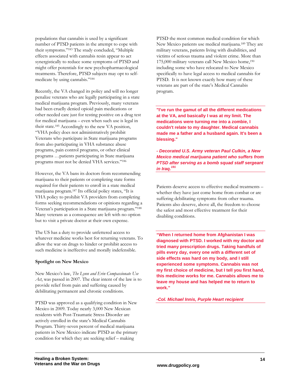populations that cannabis is used by a significant number of PTSD patients in the attempt to cope with their symptoms."183 The study concluded, "Multiple effects associated with cannabis resin appear to act synergistically to reduce some symptoms of PTSD and might offer potentials for new psychopharmacological treatments. Therefore, PTSD subjects may opt to selfmedicate by using cannabis."184

Recently, the VA changed its policy and will no longer penalize veterans who are legally participating in a state medical marijuana program. Previously, many veterans had been cruelly denied opioid pain medications or other needed care just for testing positive on a drug test for medical marijuana – even when such use is legal in their state.185 Accordingly to the new VA position, "VHA policy does not administratively prohibit Veterans who participate in State marijuana programs from also participating in VHA substance abuse programs, pain control programs, or other clinical programs …patients participating in State marijuana programs must not be denied VHA services."186

However, the VA bans its doctors from recommending marijuana to their patients or completing state forms required for their patients to enroll in a state medical marijuana program.187 Its official policy states, "It is VHA policy to prohibit VA providers from completing forms seeking recommendations or opinions regarding a Veteran's participation in a State marijuana program."188 Many veterans as a consequence are left with no option but to visit a private doctor at their own expense.

The US has a duty to provide unfettered access to whatever medicine works best for returning veterans. To allow the war on drugs to hinder or prohibit access to such medicine is ineffective and morally indefensible.

#### **Spotlight on New Mexico**

New Mexico's law, *The Lynn and Erin Compassionate Use Act*, was passed in 2007. The clear intent of the law is to provide relief from pain and suffering caused by debilitating permanent and chronic conditions.

PTSD was approved as a qualifying condition in New Mexico in 2009. Today nearly 3,000 New Mexican residents with Post-Traumatic Stress Disorder are actively enrolled in the state's Medical Cannabis Program. Thirty-seven percent of medical marijuana patients in New Mexico indicate PTSD as the primary condition for which they are seeking relief – making

PTSD the most common medical condition for which New Mexico patients use medical marijuana.189 They are military veterans, patients living with disabilities, and victims of serious trauma and violent crime. More than 175,000 military veterans call New Mexico home,<sup>190</sup> including some who have relocated to New Mexico specifically to have legal access to medical cannabis for PTSD. It is not known exactly how many of these veterans are part of the state's Medical Cannabis program.

**"I've run the gamut of all the different medications at the VA, and basically I was at my limit. The medications were turning me into a zombie, I couldn't relate to my daughter. Medical cannabis made me a father and a husband again. It's been a blessing."** 

*- Decorated U.S. Army veteran Paul Culkin, a New Mexico medical marijuana patient who suffers from PTSD after serving as a bomb squad staff sergeant in Iraq.191*

Patients deserve access to effective medical treatments – whether they have just come home from combat or are suffering debilitating symptoms from other trauma. Patients also deserve, above all, the freedom to choose the safest and most effective treatment for their disabling conditions.

**"When I returned home from Afghanistan I was diagnosed with PTSD. I worked with my doctor and tried many prescription drugs. Taking handfuls of pills every day, every one with a different set of side effects was hard on my body, and I still experienced some symptoms. Cannabis was not my first choice of medicine, but I tell you first hand, this medicine works for me. Cannabis allows me to leave my house and has helped me to return to work."** 

*-Col. Michael Innis, Purple Heart recipient*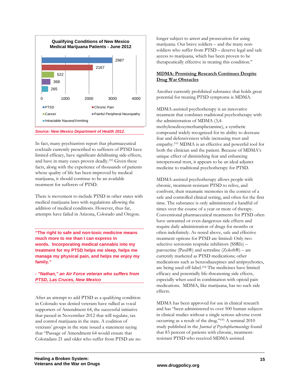

*Source: New Mexico Department of Health 2012.* 

In fact, many psychiatrists report that pharmaceutical cocktails currently prescribed to sufferers of PTSD have limited efficacy, have significant debilitating side-effects, and have in many cases proven deadly.192 Given these facts, along with the experience of thousands of patients whose quality of life has been improved by medical marijuana, it should continue to be an available treatment for sufferers of PTSD.

There is movement to include PTSD in other states with medical marijuana laws with regulations allowing the addition of medical conditions. However, thus far, attempts have failed in Arizona, Colorado and Oregon.

**"The right to safe and non-toxic medicine means much more to me than I can express in words. Incorporating medical cannabis into my treatment for my PTSD helps me sleep, helps me manage my physical pain, and helps me enjoy my family."** 

*- "Nathan," an Air Force veteran who suffers from PTSD, Las Cruces, New Mexico* 

After an attempt to add PTSD as a qualifying condition in Colorado was denied veterans have rallied as vocal supporters of Amendment 64, the successful initiative that passed in Novermber 2012 that will regulate, tax and control marijuana in the state. A coalition of veterans' groups in the state issued a statement saying that "Passage of Amendment 64 would ensure that Coloradans 21 and older who suffer from PTSD are no

longer subject to arrest and prosecution for using marijuana. Our brave soldiers – and the many nonsoldiers who suffer from PTSD – deserve legal and safe access to marijuana, which has been proven to be therapeutically effective in treating this condition."

## **MDMA: Promising Research Continues Despite Drug War Obstacles**

Another currently prohibited substance that holds great potential for treating PTSD symptoms is MDMA.

MDMA-assisted psychotherapy is an innovative treatment that combines traditional psychotherapy with the administration of MDMA (3,4 methylenedioxymethamphetamine), a synthetic compound widely recognized for its ability to decrease fear and defensiveness while increasing trust and empathy.193 MDMA is an effective and powerful tool for both the clinician and the patient. Because of MDMA's unique effect of diminishing fear and enhancing interpersonal trust, it appears to be an ideal adjunct medicine to traditional psychotherapy for PTSD.

MDMA-assisted psychotherapy allows people with chronic, treatment-resistant PTSD to relive, and confront, their traumatic memories in the context of a safe and controlled clinical setting, and often for the first time. The substance is only administered a handful of times over the course of a year or more of therapy. Conventional pharmaceutical treatments for PTSD often have unwanted or even dangerous side effects and require daily administration of drugs for months or often indefinitely. As noted above, safe and effective treatment options for PTSD are limited: Only two selective serotonin reuptake inhibitors (SSRIs) – paroxetine (Paxil®) and sertraline (Zoloft®) – are currently marketed as PTSD medications; other medications such as benzodiazepines and antipsychotics, are being used off-label.194 The medicines have limited efficacy and potentially life-threatening side effects, especially when used in combination with opioid pain medications. MDMA, like marijuana, has no such side effects.

MDMA has been approved for use in clinical research and has "been administered to over 500 human subjects in clinical studies without a single serious adverse event occurring as a result of the drug."195 A seminal 2010 study published in the *Journal of Psychopharmacology* found that 83 percent of patients with chronic, treatmentresistant PTSD who received MDMA-assisted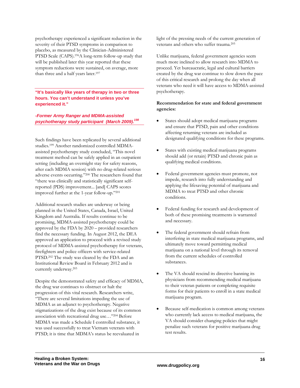psychotherapy experienced a significant reduction in the severity of their PTSD symptoms in comparison to placebo, as measured by the Clinician-Administered PTSD Scale (CAPS).196A long-term follow-up study that will be published later this year reported that these symptom reductions were sustained, on average, more than three and a half years later.<sup>197</sup>

**"It's basically like years of therapy in two or three hours. You can't understand it unless you've experienced it."** 

*-Former Army Ranger and MDMA-assisted psychotherapy study participant (March 2009).198*

Such findings have been replicated by several additional studies.199 Another randomized controlled MDMAassisted psychotherapy study concluded, "This novel treatment method can be safely applied in an outpatient setting (including an overnight stay for safety reasons, after each MDMA session) with no drug-related serious adverse events occurring."200 The researchers found that "there was clinically and statistically significant selfreported (PDS) improvement... [and] CAPS scores improved further at the 1-year follow-up."201

Additional research studies are underway or being planned in the United States, Canada, Israel, United Kingdom and Australia. If results continue to be promising, MDMA-assisted psychotherapy could be approved by the FDA by 2020 – provided researchers find the necessary funding. In August 2012, the DEA approved an application to proceed with a revised study protocol of MDMA-assisted psychotherapy for veterans, firefighters and police officers with service-related PTSD.202 The study was cleared by the FDA and an Institutional Review Board in February 2012 and is currently underway.203

Despite the demonstrated safety and efficacy of MDMA, the drug war continues to obstruct or halt the progression of this vital research. Researchers write, "There are several limitations impeding the use of MDMA as an adjunct to psychotherapy. Negative stigmatizations of the drug exist because of its common association with recreational drug use…"204 Before MDMA was made a Schedule I controlled substance, it was used successfully to treat Vietnam veterans with PTSD; it is time that MDMA's status be reevaluated in

light of the pressing needs of the current generation of veterans and others who suffer trauma.205

Unlike marijuana, federal government agencies seem much more inclined to allow research into MDMA to proceed. Yet bureaucratic, legal and cultural barriers created by the drug war continue to slow down the pace of this critical research and prolong the day when all veterans who need it will have access to MDMA-assisted psychotherapy.

#### **Recommendation for state and federal government agencies:**

- States should adopt medical marijuana programs and ensure that PTSD, pain and other conditions affecting returning veterans are included as designated qualifying conditions for these programs.
- States with existing medical marijuana programs should add (or retain) PTSD and chronic pain as qualifying medical conditions.
- Federal government agencies must promote, not impede, research into fully understanding and applying the lifesaving potential of marijuana and MDMA to treat PTSD and other chronic conditions.
- Federal funding for research and development of both of these promising treatments is warranted and necessary.
- The federal government should refrain from interfering in state medical marijuana programs, and ultimately move toward permitting medical marijuana on a national level through its removal from the current schedules of controlled substances.
- The VA should rescind its directive banning its physicians from recommending medical marijuana to their veteran patients or completing requisite forms for their patients to enroll in a state medical marijuana program.
- Because self-medication is common among veterans who currently lack access to medical marijuana, the VA should consider changing policies that might penalize such veterans for positive marijuana drug test results.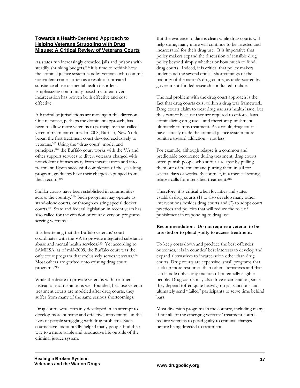#### **Towards a Health-Centered Approach to Helping Veterans Struggling with Drug Misuse: A Critical Review of Veterans Courts**

As states run increasingly crowded jails and prisons with steadily shrinking budgets,206 it is time to rethink how the criminal justice system handles veterans who commit nonviolent crimes, often as a result of untreated substance abuse or mental health disorders. Emphasizing community-based treatment over incarceration has proven both effective and cost effective.

A handful of jurisdictions are moving in this direction. One response, perhaps the dominant approach, has been to allow more veterans to participate in so-called veteran treatment courts. In 2008, Buffalo, New York, began the first treatment court devoted exclusively to veterans.207 Using the "drug court" model and principles,<sup>208</sup> the Buffalo court works with the VA and other support services to divert veterans charged with nonviolent offenses away from incarceration and into treatment. Upon successful completion of the year-long program, graduates have their charges expunged from their record.209

Similar courts have been established in communities across the country.210 Such programs may operate as stand-alone courts, or through existing special docket courts.211 State and federal legislation in recent years has also called for the creation of court diversion programs serving veterans.<sup>212</sup>

It is heartening that the Buffalo veterans' court coordinates with the VA to provide integrated substance abuse and mental health services.213 Yet according to SAMHSA, as of mid-2009, the Buffalo court was the only court program that exclusively serves veterans.214 Most others are grafted onto existing drug court programs.215

While the desire to provide veterans with treatment instead of incarceration is well founded, because veteran treatment courts are modeled after drug courts, they suffer from many of the same serious shortcomings.

Drug courts were certainly developed in an attempt to develop more humane and effective interventions in the lives of people struggling with drug problems. Such courts have undoubtedly helped many people find their way to a more stable and productive life outside of the criminal justice system.

But the evidence to date is clear: while drug courts will help some, many more will continue to be arrested and incarcerated for their drug use. It is imperative that policy makers expand the discussion of sensible drug policy beyond simply whether or how much to fund drug courts. Indeed, it is critical that policy makers understand the several critical shortcomings of the majority of the nation's drug courts, as underscored by government-funded research conducted to date.

The real problem with the drug court approach is the fact that drug courts exist within a drug war framework. Drug courts claim to treat drug use as a health issue, but they cannot because they are required to enforce laws criminalizing drug use – and therefore punishment ultimately trumps treatment. As a result, drug courts have actually made the criminal justice system more punitive toward addiction – not less.

For example, although relapse is a common and predictable occurrence during treatment, drug courts often punish people who suffer a relapse by pulling them out of treatment and putting them in jail for several days or weeks. By contrast, in a medical setting, relapse calls for intensified treatment.<sup>216</sup>

Therefore, it is critical when localities and states establish drug courts (1) to also develop many other interventions besides drug courts and (2) to adopt court practices and policies that will reduce the role of punishment in responding to drug use.

## **Recommendation: Do not require a veteran to be arrested or to plead guilty to access treatment.**

To keep costs down and produce the best offender outcomes, it is in counties' best interests to develop and expand alternatives to incarceration other than drug courts. Drug courts are expensive, small programs that suck up more resources than other alternatives and that can handle only a tiny fraction of potentially eligible people. Drug courts may also drive incarceration, since they depend (often quite heavily) on jail sanctions and ultimately send "failed" participants to serve time behind bars.

Most diversion programs in the country, including many, if not all, of the emerging veterans' treatment courts, require veterans to plead guilty to criminal charges before being directed to treatment.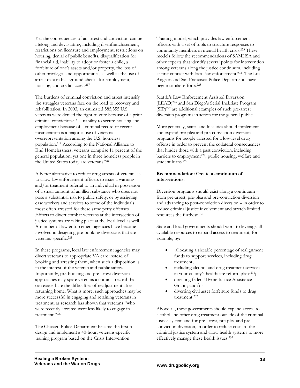Yet the consequences of an arrest and conviction can be lifelong and devastating, including disenfranchisement, restrictions on licensure and employment, restrictions on housing, denial of public benefits, disqualification for financial aid, inability to adopt or foster a child, a forfeiture of one's assets and/or property, the loss of other privileges and opportunities, as well as the use of arrest data in background checks for employment, housing, and credit access.217

The burdens of criminal conviction and arrest intensify the struggles veterans face on the road to recovery and rehabilitation. In 2003, an estimated 585,355 U.S. veterans were denied the right to vote because of a prior criminal conviction.218 Inability to secure housing and employment because of a criminal record or recent incarceration is a major cause of veterans' overrepresentation among the U.S. homeless population.219 According to the National Alliance to End Homelessness, veterans comprise 11 percent of the general population, yet one in three homeless people in the United States today are veterans.220

A better alternative to reduce drug arrests of veterans is to allow law enforcement officers to issue a warning and/or treatment referral to an individual in possession of a small amount of an illicit substance who does not pose a substantial risk to public safety, or by assigning case workers and services to some of the individuals most often arrested for these same petty offenses. Efforts to divert combat veterans at the intersection of justice systems are taking place at the local level as well. A number of law enforcement agencies have become involved in designing pre-booking diversions that are veterans-specific.221

In these programs, local law enforcement agencies may divert veterans to appropriate VA care instead of booking and arresting them, when such a disposition is in the interest of the veteran and public safety. Importantly, pre-booking and pre-arrest diversion approaches may spare veterans a criminal record that can exacerbate the difficulties of readjustment after returning home. What is more, such approaches may be more successful in engaging and retaining veterans in treatment, as research has shown that veterans "who were recently arrested were less likely to engage in treatment."222

The Chicago Police Department became the first to design and implement a 40-hour, veterans-specific training program based on the Crisis Intervention

Training model, which provides law enforcement officers with a set of tools to structure responses to community members in mental health crisis.223 These models follow the recommendations of SAMHSA and other experts that identify several points for intervention among veterans along the justice continuum, including at first contact with local law enforcement.224 The Los Angeles and San Francisco Police Departments have begun similar efforts.225

Seattle's Law Enforcement Assisted Diversion (LEAD)226 and San Diego's Serial Inebriate Program (SIP)227 are additional examples of such pre-arrest diversion programs in action for the general public.

More generally, states and localities should implement and expand pre-plea and pre-conviction diversion programs for people arrested for a low-level drug offense in order to prevent the collateral consequences that hinder those with a past conviction, including barriers to employment<sup>228</sup>, public housing, welfare and student loans.229

#### **Recommendation: Create a continuum of interventions**.

Diversion programs should exist along a continuum – from pre-arrest, pre-plea and pre-conviction diversion and advancing to post-conviction diversion – in order to reduce criminal justice involvement and stretch limited resources the furthest.230

State and local governments should work to leverage all available resources to expand access to treatment, for example, by:

- allocating a sizeable percentage of realignment funds to support services, including drug treatment;
- including alcohol and drug treatment services in your county's healthcare reform plans<sup>231</sup>;
- directing federal Byrne Justice Assistance Grants; and/or
- diverting civil asset forfeiture funds to drug treatment.232

Above all, these governments should expand access to alcohol and other drug treatment outside of the criminal justice system and for pre-arrest, pre-plea and preconviction diversion, in order to reduce costs to the criminal justice system and allow health systems to more effectively manage these health issues.233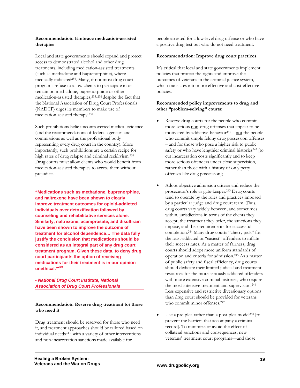#### **Recommendation: Embrace medication-assisted therapies**

Local and state governments should expand and protect access to demonstrated alcohol and other drug treatments, including medication-assisted treatments (such as methadone and buprenorphine), where medically indicated234. Many, if not most drug court programs refuse to allow clients to participate in or remain on methadone, buprenorphine or other medication-assisted therapies,235, 236 despite the fact that the National Association of Drug Court Professionals (NADCP) urges its members to make use of medication-assisted therapy.237

Such prohibitions belie uncontroverted medical evidence (and the recommendations of federal agencies and commissions as well as the professional body representing every drug court in the country). More importantly, such prohibitions are a certain recipe for high rates of drug relapse and criminal recidivism.238 Drug courts must allow clients who would benefit from medication-assisted therapies to access them without prejudice.

**"Medications such as methadone, buprenorphine, and naltrexone have been shown to clearly improve treatment outcomes for opioid-addicted individuals over detoxification followed by counseling and rehabilitative services alone. Similarly, naltrexone, acamprosate, and disulfiram have been shown to improve the outcome of treatment for alcohol dependence… The data fully justify the conclusion that medications should be considered as an integral part of any drug court treatment program. Given these data, to deny drug court participants the option of receiving medications for their treatment is in our opinion unethical."239**

#### *- National Drug Court Institute, National Association of Drug Court Professionals*

#### **Recommendation: Reserve drug treatment for those who need it**

Drug treatment should be reserved for those who need it, and treatment approaches should be tailored based on individual needs240; with a variety of other interventions and non-incarceration sanctions made available for

people arrested for a low-level drug offense or who have a positive drug test but who do not need treatment.

#### **Recommendation: Improve drug court practices.**

It's critical that local and state governments implement policies that protect the rights and improve the outcomes of veterans in the criminal justice system, which translates into more effective and cost-effective policies.

#### **Recommended policy improvements to drug and other "problem-solving" courts:**

- Reserve drug courts for the people who commit more serious non-drug offenses that appear to be motivated by addictive-behavior<sup>241</sup> – not the people who commit simple felony drug possession offenses – and for those who pose a higher risk to public safety or who have lengthier criminal histories<sup>242</sup> [to cut incarceration costs significantly and to keep more serious offenders under close supervision, rather than those with a history of only petty offenses like drug possession];
- Adopt objective admission criteria and reduce the prosecutor's role as gate-keeper.243 Drug courts tend to operate by the rules and practices imposed by a particular judge and drug court team. Thus, drug courts vary widely between, and sometimes within, jurisdictions in terms of the clients they accept, the treatment they offer, the sanctions they impose, and their requirements for successful completion.244 Many drug courts "cherry pick" for the least-addicted or "easiest" offenders to inflate their success rates. As a matter of fairness, drug courts should adopt more uniform standards of operation and criteria for admission.245 As a matter of public safety and fiscal efficiency, drug courts should dedicate their limited judicial and treatment resources for the more seriously addicted offenders with more extensive criminal histories, who require the most intensive treatment and supervision.<sup>246</sup> Less expensive and restrictive diversionary options than drug court should be provided for veterans who commit minor offenses.<sup>247</sup>
- Use a pre-plea rather than a post-plea model<sup>248</sup> [to prevent the barriers that accompany a criminal record]. To minimize or avoid the effect of collateral sanctions and consequences, new veterans' treatment court programs—and those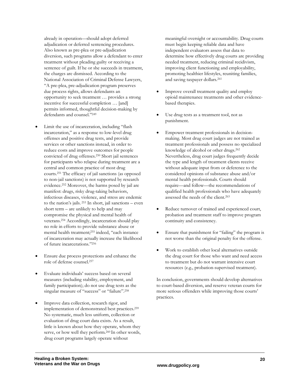already in operation—should adopt deferred adjudication or deferred sentencing procedures. Also known as pre-plea or pre-adjudication diversion, such programs allow a defendant to enter treatment without pleading guilty or receiving a sentence of guilt. If he or she succeeds in treatment, the charges are dismissed. According to the National Association of Criminal Defense Lawyers, "A pre-plea, pre-adjudication program preserves due process rights, allows defendants an opportunity to seek treatment … provides a strong incentive for successful completion … [and] permits informed, thoughtful decision-making by defendants and counsel."249

- Limit the use of incarceration, including "flash incarceration," as a response to low-level drug offenses and positive drug tests, and provide services or other sanctions instead, in order to reduce costs and improve outcomes for people convicted of drug offenses.250 Short jail sentences for participants who relapse during treatment are a central and common practice of most drug courts.251 The efficacy of jail sanctions (as opposed to non-jail sanctions) is not supported by research evidence.252 Moreover, the harms posed by jail are manifest: drugs, risky drug-taking behaviors, infectious diseases, violence, and stress are endemic to the nation's jails. 253 In short, jail sanctions – even short term – are unlikely to help and may compromise the physical and mental health of veterans.254 Accordingly, incarceration should play no role in efforts to provide substance abuse or mental health treatment;255 indeed, "each instance of incarceration may actually increase the likelihood of future incarcerations."256
- Ensure due process protections and enhance the role of defense counsel.257
- Evaluate individuals' success based on several measures (including stability, employment, and family participation); do not use drug tests as the singular measure of "success" or "failure".<sup>258</sup>
- Improve data collection, research rigor, and implementation of demonstrated best practices.259 No systematic, much less uniform, collection or evaluation of drug court data exists. As a result, little is known about how they operate, whom they serve, or how well they perform.260 In other words, drug court programs largely operate without

meaningful oversight or accountability. Drug courts must begin keeping reliable data and have independent evaluators assess that data to determine how effectively drug courts are providing needed treatment, reducing criminal recidivism, improving client functioning and employability, promoting healthier lifestyles, reuniting families, and saving taxpayer dollars.261

- Improve overall treatment quality and employ opioid maintenance treatments and other evidencebased therapies.
- Use drug tests as a treatment tool, not as punishment.
- Empower treatment professionals in decisionmaking. Most drug court judges are not trained as treatment professionals and possess no specialized knowledge of alcohol or other drugs.262 Nevertheless, drug court judges frequently decide the type and length of treatment clients receive without adequate input from or deference to the considered opinions of substance abuse and/or mental health professionals. Courts should require—and follow—the recommendations of qualified health professionals who have adequately assessed the needs of the client.263
- Reduce turnover of trained and experienced court, probation and treatment staff to improve program continuity and consistency.
- Ensure that punishment for "failing" the program is not worse than the original penalty for the offense.
- Work to establish other local alternatives outside the drug court for those who want and need access to treatment but do not warrant intensive court resources (e.g., probation-supervised treatment).

In conclusion, governments should develop alternatives to court-based diversion, and reserve veteran courts for more serious offenders while improving those courts' practices.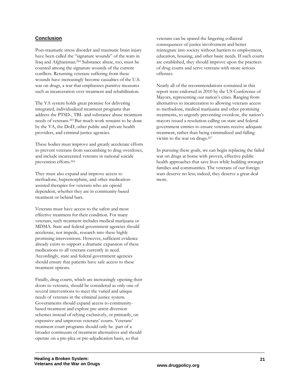## **Conclusion**

Post-traumatic stress disorder and traumatic brain injury have been called the "signature wounds" of the wars in Iraq and Afghanistan.264 Substance abuse, too, must be counted among the signature wounds of the current conflicts. Returning veterans suffering from these wounds have increasingly become casualties of the U.S. war on drugs, a war that emphasizes punitive measures such as incarceration over treatment and rehabilitation.

The VA system holds great promise for delivering integrated, individualized treatment programs that address the PTSD-, TBI- and substance abuse treatment needs of veterans.265 But much work remains to be done by the VA, the DoD, other public and private health providers, and criminal justice agencies.

These bodies must improve and greatly accelerate efforts to prevent veterans from succumbing to drug overdoses, and include incarcerated veterans in national suicide prevention efforts.266

They must also expand and improve access to methadone, buprenorphine, and other medicationassisted therapies for veterans who are opioid dependent, whether they are in community-based treatment or behind bars.

Veterans must have access to the safest and most effective treatment for their condition. For many veterans, such treatment includes medical marijuana or MDMA. State and federal government agencies should accelerate, not impede, research into these highly promising interventions. However, sufficient evidence already exists to support a dramatic expansion of these medications to all veterans currently in need. Accordingly, state and federal government agencies should ensure that patients have safe access to these treatment options.

Finally, drug courts, which are increasingly opening their doors to veterans, should be considered as only one of several interventions to meet the varied and unique needs of veterans in the criminal justice system. Governments should expand access to communitybased treatment and explore pre-arrest diversion schemes instead of relying exclusively, or primarily, on expensive and unproven veterans' courts. Veterans' treatment court programs should only be part of a broader continuum of treatment alternatives and should operate on a pre-plea or pre-adjudication basis, so that

veterans can be spared the lingering collateral consequences of justice involvement and better reintegrate into society without barriers to employment, education, housing, and other basic needs. If such courts are established, they should improve upon the practices of drug courts and serve veterans with more serious offenses.

Nearly all of the recommendations contained in this report were endorsed in 2010 by the US Conference of Mayors, representing our nation's cities. Ranging from alternatives to incarceration to allowing veterans access to methadone, medical marijuana and other promising treatments, to urgently preventing overdose, the nation's mayors issued a resolution calling on state and federal government entities to ensure veterans receive adequate treatment, rather than being criminalized and falling victim to the war on drugs.267

In pursuing these goals, we can begin replacing the failed war on drugs at home with proven, effective public health approaches that save lives while building stronger families and communities. The veterans of our foreign wars deserve no less; indeed, they deserve a great deal more.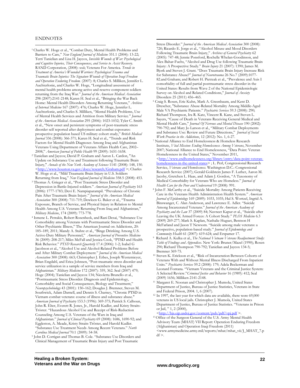#### ENDNOTES

 $\overline{a}$ 

- <sup>1</sup> Charles W. Hoge et al., "Combat Duty, Mental Health Problems and Barriers to Care," *New England Journal of Medicine* 351.1 (2004): 13-22; Terri Tanielian and Lisa H. Jaycox, *Invisible Wounds of War: Psychological and Cognitive Injuries, Their Consequences, and Service to Assist Recovery*. RAND Corporation, (2008): xxii; Veterans For America. *Trends in Treatment of America's Wounded Warriors: Psychological Trauma and Traumatic Brain Injuries: The Signature Wounds of Operation Iraqi Freedom and Operation Enduring Freedom.* (2007): 8; Charles S. Milliken, Jennifer L. Auchterlonie, and Charles W. Hoge, "Longitudinal assessment of mental health problems among active and reserve component soldiers returning from the Iraq War." *Journal of the American Medical Association* 298 (2007):2141-2148; Karen H. Seal et al., "Bringing the War Back Home: Mental Health Disorders Among Returning Veterans," *Archives of Internal Medicine* 167 (2007): 476; Charles W. Hoge, Jennifer L. Auchterlonie, and Charles S. Milliken, "Mental Health Problems, Use of Mental Health Services and Attrition from Military Service." *Journal of the American Medical Association* 295 (2006): 1023-1032; Tyler C. Smith et al., "New onset and persistent symptoms of post-traumatic stress disorder self reported after deployment and combat exposures: prospective population based US military cohort study," *British Medical Journal* 336 (2008): 366-371; Karen H. Seal et al., "Trends and Risk Factors for Mental Health Diagnoses Among Iraq and Afghanistan Veterans Using Department of Veterans Affairs Health Care, 2002-2008," American Journal of Public Health 99 (2009): 1651-1658.
- <sup>2</sup> Tanielian and Jaycox; David P. Graham and Aaron L. Cardon, "An Update on Substance Use and Treatment following Traumatic Brain Injury," *Annals of the New York Academy of Sciences* 1141 (2008): 148, 150. <http://www.houston.va.gov/docs/research/Graham.pdf >; Charles W. Hoge et al., "Mild Traumatic Brain Injury in U.S. Soldiers
- Returning from Iraq," *New England Journal of Medicine* 358.5 (2008): 453. 3 Thomas A. Grieger et al., "Post Traumatic Stress Disorder and Depression in Battle-Injured soldiers." *American Journal of Psychiatry* 163 (2006): 1777-1783; Devi E. Nampiaparampil. "Prevalence of Chronic Pain After Traumatic Brain Injury." *Journal of the American Medical Association* 300 (2008): 711-719; Dewleen G. Baker et al., "Trauma Exposure, Branch of Service, and Physical Injury in Relation to Mental Health Among U.S. Veterans Returning From Iraq and Afghanistan," Military Medicine, 174 (2009): 773-778.
- <sup>4</sup> Ismene L. Petrakis, Robert Rosenheck, and Rani Desai, "Substance Use Comorbidity among Veterans with Posttraumatic Stress Disorder and Other Psychiatric Illness," The American Journal on Addictions, 20: 185–189, 2011; Mandy A. Stahre et al., "Binge Drinking Among U.S. Active-Duty Military Personnel," *American Journal of Preventive Medicine* 36 (2009): 208-217; Miles McFall and Jessica Cook, "PTSD and Health Risk Behavior*.*" *PTSD Research Quarterly* 17.4 (2006): 1-2; Isabel G Jacobson et al., "Alcohol Use and Alcohol-Related Problems Before and After Military Combat Deployment." *Journal of the American Medical Association* 300 (2008): 663; Christopher J. Erbes, Joseph Westemieyer, Brian Engdahl, and Erica Johnsen, "Post-traumatic stress disorder and service utilization in a sample of service members from Iraq and Afghanistan." *Military Medicine* 172 (2007): 359, 362. Seal (2007) 479; Hoge (2004); Tanielian and Jaycox 134; Nicoletta Brunello et al., "Posttraumatic Stress Disorder: Diagnosis and Epidemiology, Comorbidity and Social Consequences, Biology and Treatment," *Neuropsychobiology* 43 (2001): 150–162; Douglas J. Bremner, Steven M. Southwick, Adam Darnell, and Dennis S. Charney, "Chronic PTSD in Vietnam combat veterans: course of illness and substance abuse." *American Journal of Psychiatry* 153.3 (1996): 369-375; Patrick S. Calhoun, John R. Elter, Everett R. Jones, Jr., Harold Kudler, and Kristy Straits-Tröster. "Hazardous Alcohol Use and Receipt of Risk-Reduction Counseling Among U.S. Veterans of the Wars in Iraq and Afghanistan." *Journal of Clinical Psychiatry* 69 (2008): 1686, 1690-92; and Eggleston, A. Meade, Kristy Straits-Tröster, and Harold Kudler. "Substance Use Treatment Needs Among Recent Veterans." *North*
- *Carolina Medical Journal* 70.1 (2009): 54-58. 5 John D. Corrigan and Thomas B. Cole. "Substance Use Disorders and Clinical Management of Traumatic Brain Injury and Post Traumatic

 $\overline{a}$ Stress Disorder." *Journal of the American Medical Association* 300 (2008): 720; Ricardo E. Jorge et al., "Alcohol Misuse and Mood Disorders Following Traumatic Brain Injury," *Archives of General Psychiatry* 62 (2005): 747-48; Jennie Ponsford, Rochelle Whelan-Goodinson, and Alex Bahar-Fuchs, "Alcohol and Drug Use following Traumatic Brain Injury: A Prospective Study." *Brain Injury* 21 (2007): 1390; James M. Bjork and Steven J. Grant. "Does Traumatic Brain Injury Increase Risk for Substance Abuse?" *Journal of Neurotrauma* 26 No.7 (2009):1077- 82.and Graham; and Robert H. Pietrzak et al., "Prevalence and Axis I comorbidity of full and partial posttraumatic stress disorder in the United States: Results from Wave 2 of the National Epidemiologic Survey on Alcohol and Related Conditions," *Journal of Anxiety*

- <sup>6</sup> Craig S. Rosen, Eric Kuhn, Mark A. Greenbaum, and Kent D. Drescher, "Substance Abuse-Related Mortality Among Middle-Aged Male VA Psychiatric Patients." *Psychiatric Services* 59.3 (2008): 290; Richard Thompson, Ira R. Katz, Vincent R. Kane, and Steven L. Sayers, "Cause of Death in Veterans Receiving General Medical and Mental Health Care," *Journal Of Nervous and Mental Disease* 190 (2002): 790-792; and Mary Jo Larson et al., "Military Combat Deployments and Substance Use: Review and Future Directions," *Journal of Social*
- *National Alliance to End Homelessness & Homeless Research* Institute, *Vital Mission: Ending Homelessness Among Veterans*, November 2007; National Alliance to End Homelessness, "Data Point: Veteran Homelessness in the United States," November 2011,
- <http://www.endhomelessness.org/library/entry/datahomelessness-in-the-united-states> ; L. Perl, Congressional Research Service, *Veterans and Homelessness.* Washington D.C.: Congressional Research Service (2007); Gerald Goldstein James F. Luther, Aaron M. Jacoby, Gretchen L. Haas, and Adam J. Gordon, "A Taxonomy of Medical Comorbidity for Veterans Who are Homeless." *Journal of*
- <sup>8</sup> John F. McCarthy et al., "Suicide Mortality Among Patients Receiving Care in the Veterans Health Administration Health System." *American Journal of Epidemiology* 169 (2009): 1033, 1035; Hal S. Wortzel, Ingrid A. Binswanger, C. Alan Anderson, and Lawrence E. Adler. "Suicide Among Incarcerated Veterans." *Journal of the American Academy of Psychiatry and the Law* 37 (2009) 84; Navneet Kapur et al., "Suicide after Leaving the UK Armed Forces: A Cohort Study." *PLOS Medicine* 6.3 (2009) 269-277; Mark S. Kaplan, Nathalie Huguet, Bentson H McFarland and Jason T Newsom. "Suicide among male veterans: a prospective, population-based study." *Journal of Epidemiology and*
- *Richard A. Kulka et al., The National Vietnam Veterans Readjustment Study: Table of Findings and Appendices*. New York: Bruner/Mazel (1990); Rosen 290; Richard Thompson 790-792; Tanielian and Jaycox 134-5;
- Bremner 369-75. 10 Steven K. Erickson et al., "Risk of Incarceration Between Cohorts of Veterans With and Without Mental Illness Discharged From Inpatient Units." *Psychiatric Services* 59.2 (2008): 179; Adela Beckerman and Leonard Fontana. "Vietnam Veterans and the Criminal Justice System: A Selected Review."*Criminal Justice and Behavior* 16 (1989)*:* 412; Seal
- (2009) 1656; Milliken 2141-2148. 11 Margaret E. Noonan and Christopher J. Mumola, United States Department of Justice, Bureau of Justice Statistics, Veterans in State
- $^{\rm 12}$  In 1997, the last year for which data are available, there were 69,000 veterans in US local jails. Christopher J. Mumola, United States Department of Justice, Bureau of Justice Statistics. "Veterans in Prison or Jail, "  $1, 2$  (2000),<br>  $\langle \frac{\text{http://bis.ojp.usdoi.gov/content/public/pdf/vpi.pdf}}{\text{http://bis.ojp.usdoi.gov/content/public/pdf/vpi.pdf}} \rangle$

<sup>13</sup> Office of the Surgeon General of the U.S. Army Mental Health Advisory Team (MHAT) VII Report: Operation Enduring Freedom (Afghanistan) and Operation Iraqi Freedom (2011) <www.armymedicine.army.mil/reports/mhat/mhat\_vii/J\_MHAT\_7.p  $df$   $>$ .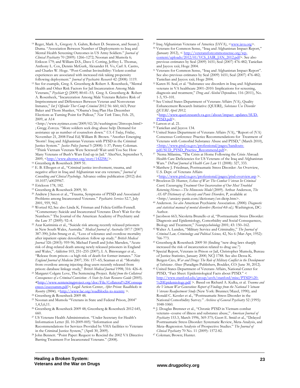- 14 Reger, Mark A., Gregory A. Gahm, Robert D. Swanson, and Susan J. Duma. "Association Between Number of Deployments to Iraq and Mental Health Screening Outcomes in US Army Soldiers." *Journal of Clinical Psychiatry* 70 (2009): 1266–1272; Noonan and Mumola 6; Erikson 179; and William D.S., Dave I. Cotting, Jeffrey L. Thomas, Anthony L. Cox, Dennis McGurk, Alexander H. Vo, Carl A. Castro, and Charles W. Hoge. "Post-Combat Invincibility: Violent combat experiences are associated with increased risk taking propensity
- following deployment." *Journal of Psychiatric Research* 42 (2008): 1119. 15 See for example, Greg A. Greenberg & Robert A. Rosenheck, "Mental Health and Other Risk Factors for Jail Incarceration Among Male Veterans," *Psychiatr Q* (2009) 80:41–53; Greg A. Greenberg & Robert A. Rosenheck, "Incarceration Among Male Veterans Relative Risk of Imprisonment and Differences Between Veteran and Nonveteran Inmates," *Int J Offender Ther Comp Criminol* 2012 56: 660, 663; Peter Baker and Thom Shanker, "Obama's Iraq Plan Has December Elections as Turning Point for Pullout," *New York Times*, Feb. 25, 2009, at A14

<http://www.nytimes.com/2009/02/26/washington/26troops.html> ; Gregg Zoroya. "More soldiers seek drug abuse help: Demand for assistance up as number of counselors down." *USA Today*, Friday, November 21, 2008 Final Ed; William B. Brown. "Another Emerging 'Storm': Iraq and Afghanistan Veterans with PTSD in the Criminal Justice System." *Justice Policy Journal* 5 (2008): 1-37; Penny Coleman. "Think Vietnam Veterans Were Screwed? Wait until You See How Many Veterans of Bush's Wars End up in Jail." AlterNet, September 9, 2009, <http://www.alternet.org/story/142258/>.<br><sup>16</sup> Greenberg & Rosenheck 2009 51.

17 E. B. Elbogen et al., "Criminal justice involvement, trauma, and negative affect in Iraq and Afghanistan war era veterans," *Journal of Consulting and Clinical Psychology.* Advance online publication (2012) doi: 10.1037/a0029967. 18 Erickson 178, 182.

 $\overline{a}$ 

- 
- 19 Greenberg & Rosenheck 2009, 50. 20 Andrew J Saxon et al., "Trauma, Symptoms of PTSD and Associated Problems among Incarcerated Veterans." *Psychiatric Services* 52.7, July
- 2001, 959, 962. 21 Wortzel 82; See also Linda K. Frisman and Felicia Griffin-Fennell. "Commentary: Suicide and Incarcerated Veterans: Don't Wait for the Numbers." The Journal of the American Academy of Psychiatry and the Law 37 (2009): 92–4. 22 Azar Kariminia et al., "Suicide risk among recently released prisoners
- in New South Wales, Australia." *Medical Journal of Australia* 187:7 (2007) 387-390; John Strang et al., "Loss of tolerance and overdose mortality after inpatient opiate detoxification: follow up study." *British Medical Journal* 326 (2003): 959-96; Michael Farrell and John Marsden, "Acute risk of drug-related death among newly released prisoners in England and Wales," *Addiction* 103, 251–255 (2007); I. A. Binswanger et al., "Release from prison—a high risk of death for former inmates." *New England Journal of Medicine* 2007; 356: 157–65; Seaman et al. "Mortality from overdose among injecting drug users recently released from prison: database linkage study," British Medical Journal 1998; 316: 426-8.
- <sup>23</sup> Margaret Colgate Love, The Sentencing Project. *Relief from the Collateral Consequences of a Criminal Conviction: A State by-State Resource Guide* (2005). **<**http://www.sentencingproject.org/doc/File/Collateral%20Consequ ences/execsumm.pdf>; Legal Action Center, *After Prison: Roadblocks to Reentry (2004), <*http://www.lac.org/roadblocks-to-reentry >. 24 Greenberg & Rosenheck 2009 48.
- 
- 25 Noonan and Mumola "Veterans in State and Federal Prison, 2004" 1,4,5,6,11. 26 Greenberg & Rosenheck 2009 48; Greenberg & Rosenheck 2012 645,
- 
- 660. 27 US Veterans Health Administration. "Under Secretary for Health's Information Letter (IL 10-2009-005) "Information and Recommendations for Services Provided by VHA facilities to Veterans<br>in the Criminal Justice System," (April 30, 2009).
- <sup>28</sup> John Bennett. "Point Paper: Request to Rescind the 2002 VA Directive Barring Treatment For Incarcerated Veterans." (2008).
- <sup>29</sup> Iraq Afghanistan Veterans of America (IAVA),  $\langle \frac{www.iava.org}{www.iava.org} \rangle$ .<br><sup>30</sup> Veterans for Common Sense, "Iraq and Afghanistan Impact Report,"
- *(*January 2012), < http://veteransforcommonsense.org/wpcontent/uploads/2012/01/VCS\_IAIR\_JAN\_2012.pdf>. See also previous estimates by Seal (2009) 1651; Seal (2007) 476-482; Tanielian
- and Jaycox xxii; Hoge 2004. 31 Veterans for Common Sense, "Iraq and Afghanistan Impact Report". See also previous estimates by Seal (2009) 1651; Seal (2007) 476-482;
- Tanielian and Jaycox xxii; Hoge 2004. 32 Karen H. Seal, et al. "Substance use disorders in Iraq and Afghanistan veterans in VA healthcare 2001–2010: Implications for screening, diagnosis and treatment," *Drug and Alcohol Dependence,* 116 (2011), No.
- 33 See United States Department of Veterans Affairs (VA), Quality Enhancement Research Initiative (QUERI), *Substance Use Disorder QUERI April 2012,*

*<*http://www.queri.research.va.gov/about/impact\_updates/SUD-

<sup>34</sup> Larson et al. 21.

 $\overline{a}$ 

- 35 Tanielian and Jaycox 134.
- 36 United States Department of Veterans Affairs (VA), "Report of (VA) Consensus Conference: Practice Recommendations for Treatment of Veterans with Comorbid Substance Abuse and PTSD," (March 2010),  $\frac{\text{thttp://www.ptsd.va.gov/professional/pages/handouts.pdf}{\text{pdf/SUD} \ P TSD \ P rate tree Recommend.pdf}.$
- <sup>37</sup> Nema Milanina, "The Crisis at Home Following the Crisis Abroad: Health Care Deficiencies for US Veterans of the Iraq and Afghanistan
- Wars." *DePaul Journal of Health Care Law* 11 (2008): 327, 333. 38 Matthew J. Friedman, Posttraumatic Stress Disorder: An Overview, U.S. Dept. of Veterans Affairs
- <http://www.ptsd.va.gov/professional/pages/ptsd-overview.asp >. 39 Brockton D. Hunter, *Echoes of War: The Combat Veteran In Criminal*
- *Court; Encouraging Treatment Over Incarceration of Our Most Troubled Returning Heroes—The Minnesota Model* (2009). Arthur Anderson, *The ASAP Dictionary of Anxiety and Panic Disorders,* P, available at
- <http://anxiety-panic.com/dictionary/en-dictp.htm>. 40 Anderson. *See also* American Psychiatric Association. *(2000). Diagnostic and statistical manual of mental disorders (Revised 4th ed.).* Washington, DC: Author. 41 Jacobson 663; Nicoletta Brunello et al, "Posttraumatic Stress Disorder:
- Diagnosis and Epidemiology, Comorbidity and Social Consequences,
- Biology and Treatment," *Neuropsychobiology* 2001; 43: 150–162. 42 Walter A. Lunden, "Military Service and Criminality," *The Journal of Criminal Law, Criminology and Political Science,* 42, No 6 (Mar-Apr, 1952):
- 766-773. 43 Greenberg & Rosenheck 2009 50 (finding "new drug laws sharply
- <sup>44</sup> Special Report, Veterans in Prison or Jail, Christopher Mumola, Bureau of Justice Statistics, January 2000, NCJ 1788. See also Dessa K. Bergen-Cico, *War and Drugs: The Role of Military Conflict in the Development*
- *of Substance Abuse* (Paradigm Publishers, Boulder, CO: June 30, 2012). 45 United States Department of Veterans Affairs, National Center for PTSD, "Fact Sheet: Epidemiological Facts about PTSD." < http://www.stanford.edu/group/usvh/stanford/misc/PTSD%20- %20Epidemiology.pdf >. Based on Richard A. Kulka, et al. *Trauma and the Vietnam War Generation: Report of Findings from the National Vietnam Veterans Readjustment Study* (New York: Brunner/Mazel, 1990); and Ronald C. Kessler et al., "Posttraumatic Stress Disorder in the National Comorbidity Survey." *Archives of General Psychiatry* 52 (1995):
- 1048-1060. 46 J. Douglas Bremner et al., "Chronic PTSD in Vietnam combat veterans--course of illness and substance abuse," *American Journal of Psychiatry* 153.3, March 1996, 369-375; Geert E. Smid et al., "Delayed Posttraumatic Stress Disorder: Systematic Review, Meta-Analysis, and Meta–Regression Analysis of Prospective Studies." *The Journal of Clinical Psychiatry* 70 No. 11 (2009): 1572-82. 47 Coleman; Brown; Hunter.
-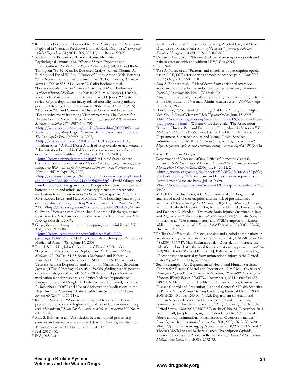48 Rumi Kato Price et al., "Twenty-Five Year Mortality of US Servicemen Deployed in Vietnam: Predictive Utility of Early Drug Use." *Drug and* 

 $\overline{a}$ 

- <sup>49</sup> See Joseph A. Boscarino, "External-Cause Mortality after Psychological Trauma: The Effects of Stress Exposure and Predisposition." *Comprehensive Psychiatry* 47 (2006): 503-14; and Richard Thompson 789-92; Kent D. Drescher, Craig S. Rosen, Thomas A. Burling, and David W. Foy, "Causes of Death Among Male Veterans Who Received Residential Treatment for PTSD," *Journal of Traumatic Stress* 16 (2003): 535–543; Tegen K. Catlin Boehmer, et al., "Postservice Mortality in Vietnam Veterans: 30-Year Follow-up." *Archives of Internal Medicine* 164 (2004): 1908-1916; Joseph J. Knapik, Roberto E. Marin, Tyson L. Grier and Bruce H. Jones, "A systematic review of post-deployment injury-related mortality among military personnel deployed to conflict zones," *BMC Public Health* 9 (2009): 231; Rosen 290; and Centers for Disease Control and Prevention. "Post-service mortality among Vietnam veterans. The Centers for Disease Control Vietnam Experience Study," *Journal of the American Medical Association* 257 (1987):790–795,
- 50 See for example, Mary Engel. "Parents Blame VA in Fatal Overdose, *The Los Angeles Times* (March 12, 2007).

<http://articles.latimes.com/2007/mar/12/local/me-vet12>; Jonathan Alter. "A Fatal Dose: A rash of drug overdoses at a Veterans Administration hospital in California raises new questions about the quality of military health care," *Newsweek* (Mar 20, 2007).

<http://www.newsweek.com/id/36083>; United States Senate, Committee on Veterans' Affairs. *Statement of Tony Bailey, Father of Justin Bailey, Iraq War Veteran for Presentation Before the Senate Committee on Veterans' Affairs*. (April 25, 2007)

<http://veterans.senate.gov/hearings.cfm?action=release.display&rele ase\_id=08940088-3fe1-40be-94a0-0e5b629b3fff>; David Olinger and Erin Emery, "Soldiering on in pain: Troops who return from war with battered bodies and minds are increasingly turning to prescription medication to ease their injuries," *Denver Post*, August 26, 2008; Brian Ross, Robert Lewis, and Kate McCarthy. "The Looming Catastrophe of Drug Abuse Among Our Iraq War Veterans." *ABC News*. Nov 26, 2007. <http://abcnews.go.com/Blotter/Story?id=3898810>; Martin C. Evans. "Veterans with Other Than Honorable Discharges turned away from the VA: Parents of ex-Marine who killed himself sue VA." *Newsday* (March 1, 2009). 51 Gregg Zoroya, "Troops reportedly popping more painkillers." *USA* 

- *Today.* Oct. 21, 2008.
- <http://www.usatoday.com/news/military/2008-10-20 paindrugs\_N.htm >; David Olinger; and Mark Thompson. "America's Medicated Army," Time, June 16, 2008.
- <sup>52</sup> Brett J. Schneider, John C. Bradley, and David M. Benedek. "Psychiatric Medications for Deployment: An Update." *Military Medicine* 172 (2007): 681-85; Somaia Mohamed and Robert A. Rosenheck. "Pharmacotherapy of PTSD in the U.S. Department of Veterans Affairs: Diagnostic- and Symptom-Guided Drug Selection." *Journal of Clinical Psychiatry* 69 (2008): 959-965 (finding that 80 percent of veterans diagnosed with PTSD in 2004 received psychotropic medication (antidepressants, anxiolytics/sedative-hypnotics or antipsychotics); and Douglas L. Leslie, Somaia Mohamed, and Robert A. Rosenheck. "Off-Label Use of Antipsychotic Medications in the Department of Veterans Affairs Health Care System." *Psychiatric*
- *Services* 60 (2009): 1175-1181. 53 Karen H. Seal et al., "Association of mental health disorders with prescription opioids and high-risk opioid use in US veterans of Iraq and Afghanistan," *Journal of the American Medical Association* 307 No. 9
- (2012):940. 54 Amy S. Bohnert et al., "Association between opioid prescribing patterns and opioid overdose-related deaths," *Journal of the American Medical Association*. 305 No. 13 (2011):1315‐1321. 55 Seal (2012)940.

- 57 Joy R. Goebel et al., "Prescription Sharing, Alcohol Use, and Street Drug Use to Manage Pain Among Veterans," *Journal of Pain and*
- <sup>58</sup> Declan T. Barry et al., "Nonmedical use of prescription opioids and pain in veterans with and without HIV," *Pain (*2011). 59 Ibid., 944.

 $\overline{a}$ 

- 60 Tara A. Macey et al., "Patterns and correlates of prescription opioid use in OEF/OIF veterans with chronic noncancer pain," *Pain Med.*
- (2011) Oct;12(10):1502, 1507.<br><sup>61</sup> Amy S. Bohnert et al., "Risk of death from accidental overdose associated with psychiatric and substance use disorders," *American*
- *Journal of Psychiatry* 169 No. 1 (2012):64-70. 62 Amy S. Bohnert et al., "Accidental poisoning mortality among patients in the Department of Veterans Affairs Health System. *Med Care.* Apr
- 2011;49(4):393. 63 Bob Curley, "Wounds of War: Drug Problems Among Iraq, Afghan Vets Could Dwarf Vietnam." *Join Together Online,* June 15, 2008. <http://www.jointogether.org/news/features/2009/wounds-of-wardrug-problems.html>; William C. Becker et al., "The Association Between Chronic Pain and Prescription Drug Abuse in Veterans." *Pain Medicine* 10 (2009): 531-36; United States Health and Human Services Department, Substance Abuse and Mental Health Services Administration (SAMHSA*). National Survey on Drug Use and Health: Major Depressive Episode and Treatment among Veterans Aged 21-39* (2008):
- 3. 64 Mark Thompson; Olinger.
- 65 Department of Veterans Affairs, Office of Inspector General. *Healthcare Inspection: Review of Veterans Health Administration Residential Mental Health Care Facilities.* (2009): iii, iv, 20-22, 24. <http://www4.va.gov/oig/54/reports/VAOIG-08-00038-152.pdf>; Kimberly Hefling. "VA overdose problems still exist, report says." Army Times/Associate Press (Jul 10, 2009). <http://www.armytimes.com/news/2009/07/ap\_va\_overdose\_07100
- $9w/$ .<br><sup>66</sup> McFall 1-2; Jacobson 663; A.C. McFarlane et al., "A longitudinal analysis of alcohol consumption and the risk of posttraumatic symptoms." *Journal of Affective Disorders* 118 (2009): 166–172; Corrigan; Martin, Elizabeth Moy, Wei C. Lu, Katherine Helmick, Louis French, and Deborah L. Warden. "Traumatic Brain Injuries Sustained in Iraq and Afghanistan," *American Journal of Nursing* 108.4 (2008) 46; Sony B. Norman et al., "Do trauma history and PTSD symptoms influence addiction relapse context?" *Drug Alcohol Dependence* 90 (2007): 89–96;
- Bremner 369-375.<br><sup>67</sup> Phillip O. Coffin et al., "Opiates, cocaine and alcohol combinations in accidental drug overdose deaths in New York City, 1990-98."*Addiction*  98 (2003):739-747; Matt Hickman et al., "Does alcohol increase the risk of overdose death: the need for a translational approach." *Addiction* 103(2008):1060-1062; and Paulozzi LJ, Ballesteros MF, Stevens JA., "Recent trends in mortality from unintentional injury in the United
- States." *J Safety Res* 2006; 37:277–83. 68 See for example, U.S. Department of Health and Human Services, Centers for Disease Control and Prevention, *"Vital Signs: Overdoses of Prescription Opioid Pain Relievers – United States, 1999-2008, Morbidity and Mortality Weekly Report (MMWR),* November 4, 2011 / 60(43);1487- 1492; U.S. Department of Health and Human Services, Centers for Disease Control and Prevention, National Center for Health Statistics. *CDC Wonder, Compressed Mortality* Underlying Cause of Death, 1999- 2008 (ICD-10 codes X40-X44); U.S. Department of Health and Human Services, Centers for Disease Control and Prevention, National Center for Health Statistics, "Drug Poisoning Death in the United States, 1980-2008," NCHS Data Brief, No. 81, December 2011; Aron J. Hall, Joseph E. Logan, and Robin L. Toblin, "Patterns of Abuse among Unintentional Pharmaceutical Overdose Fatalities," *Journal of the American Medical Association*, 300 (2008): 2613, 2613-20. <http://jama.ama-assn.org/cgi/content/full/300/22/2613 >; and A. Thomas McClellan and Barbara Turner. "Prescription Opioids, Overdose Deaths and Physician Responsibility." *Journal of the American Medical Association*, 300 (2008): 2672-73.

<sup>56</sup> Ibid., 943-944.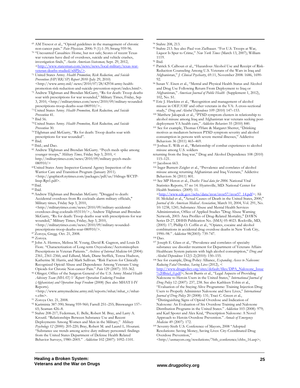- $\overline{a}$ 69 AM Trescot et al., "Opioid guidelines in the management of chronic
- non-cancer pain." *Pain Physician.* 2006: 9 (1):1-39; Strang 959-96. 70 "Uncounted Casualties: Home, but not safe; Scores of recent Texas war veterans have died of overdoses, suicide and vehicle crashes, investigation finds," *Austin American-Statesman,* Sept. 29, 2012, <http://www.statesman.com/news/news/local-military/te veteran-deaths-studied/nSPJs/>. 71 United States Army. *Health Promotion, Risk Reduction, and Suicide*
- *Prevention (HP/RR/SP) Report 2010* (July 29, 2010)  $\verb|.\n$
- $p^{\tau_2}$  Andrew Tilghman and Brendan McGarry, "Rx for death: Troop deaths soar with prescriptions for war wounded," Military Times, Friday, Sep 3, 2010, <http://militarytimes.com/news/2010/09/military-wounded-
- prescriptions-troop-deaths-soar-080910/>.. 73 United States Army. *Health Promotion, Risk Reduction, and Suicide Prevention* 41. 74 Ibid 56.
- 
- 78 United States Army. *Health Promotion, Risk Reduction, and Suicide*
- *Prevention* 30. 79 Tilghman and McGarry, "Rx for death: Troop deaths soar with prescriptions for war wounded". 80 Ibid.
- 
- 81 Ibid.; and Dao.
- 82 Andrew Tilghman and Brendan McGarry. "Psych meds spike among younger troops," *Military Times,* Friday Sep 3, 2010, < http://militarytimes.com/news/2010/09/military-psych-meds-
- 080910/> 83United States Anny Inspector General Agency Inspection of the Warrior Care and Transition Program (January 2011). <http://graphics8.nytimes.com/packages/pdf/us/10drugs-WCTP-Insp-Rpt1.pdf>. 84 Ibid.
- 
- 85 Ibid.
- 86 Andrew Tilghman and Brendan McGarry. "Drugged to death: Accidental overdoses from Rx cocktails alarm military officials," Military times, Friday Sep 3, 2010,

 $<$ http://militarytimes.com/news/2010/09/military-accidentaloverdoses-drug-cocktails-053110/>.; Andrew Tilghman and Brendan McGarry, "Rx for death: Troop deaths soar with prescriptions for war wounded," Military Times, Friday, Sep 3, 2010,

<http://militarytimes.com/news/2010/09/military-woundedprescriptions-troop-deaths-soar-080910/>. 87 Zoroya, Gregg. Oct. 21, 2008.

88 Zoroya.

- 89 John A. Hermos, Melissa M. Young, David R. Gagnon, and Louis D. Fiore. "Characterization of Long-term Oxycodone/Acetominophen Prescriptions in Veteran Patients." *Archives of Internal Medicine* 64 (2004): 2361, 2361-2366; and Edlund, Mark, Diane Steffick, Teresa Hudson, Katherine M. Harris, and Mark Sullivan. "Risk Factors for Clinically Recognized Opioid Abuse and Dependence Among Veterans Using<br>Opioids for Chronic Non-cancer Pain." Pain 129 (2007): 355-362.
- <sup>90</sup> Olinger; Office of the Surgeon General of the U.S. Army Mental Health *Advisory Team (MHAT) V Report: Operation Enduring Freedom (Afghanistan) and Operation Iraqi Freedom* (2008) (See also MHAT I-IV Reports).

<http://www.armymedicine.army.mil/reports/mhat/mhat\_v/mhatv.cfm>.<br><sup>91</sup> Zoroya Oct. 21, 2008.

92 Kariminia 387-390; Strang 959-960; Farrell 251–255; Binswanger 157–

65; Seaman 426–8. 93 Stahre 208-217; Federman, E. Belle, Robert M. Bray, and Larry A. Kroutil. "Relationships Between Substance Use and Recent Deployments Among Women and Men in the Military," *Military Psychology 12* (2000): 205-220; Bray, Robert M. and Laurel L. Hourani. "Substance use trends among active duty military personnel: findings from the United States Department of Defense Health Related Behavior Surveys, 1980–2005." *Addiction* 102 (2007): 1092–1101.

94 Stahre 208, 213.

- 95 Stahre 213. See also Paul von Zielbauer. "For U.S. Troops at War, Liquor Is Spur to Crime," *New York Times* (March 13, 2007); William 1119. 96 Ibid.
- 

 $\overline{a}$ 

- 97 Patrick S. Calhoun et al., "Hazardous Alcohol Use and Receipt of Risk-Reduction Counseling Among U.S. Veterans of the Wars in Iraq and Afghanistan," *J. Clinical Psychiatry*, 69.11, November 2008: 1686, 1690-
- 92. 98 Susan V. Eisen et al., "Mental and Physical Health Status and Alcohol and Drug Use Following Return From Deployment to Iraq or Afghanistan," *American Journal of Public Health* (Supplement 1, 2012),
- <sup>99</sup> Eric J. Hawkins et al., "Recognition and management of alcohol misuse in OEF/OIF and other veterans in the VA: A cross-sectional

study," *Drug and Alcohol Dependence* 109 (2010) 147–153. 100 Matthew Jakupcak et al., "PTSD symptom clusters in relationship to alcohol misuse among Iraq and Afghanistan war veterans seeking post-deployment VA health care," Addictive Behaviors 35 (2010) 840.

- <sup>101</sup> See for example, Thomas O'Hare & Margaret Sherrer, "Drinking motives as mediators between PTSD symptom severity and alcohol consumption in persons with severe mental illnesses," Addictive
- Behaviors 36 (2011) 465–469.<br><sup>102</sup> Joshua E. Wilk et al., "Relationship of combat experiences to alcohol misuse among U.S. soldiers
- returning from the Iraq war," Drug and Alcohol Dependence 108 (2010) 115–121.<br><sup>103</sup> Jacobson 663.
- 
- 104 Inger Burnett-Zeigler et al., "Prevalence and correlates of alcohol misuse among returning Afghanistan and Iraq Veterans," Addictive

Behaviors 36 (2011) 801. 105 See MP Heron et al., *Deaths: Final data for 2006.* National Vital Statistics Reports, 57 no 14. Hyattsville, MD: National Center for Health Statistics. (2009): 11.

<http://www.cdc.gov/nchs/data/nvsr/nvsr57/nvsr57\_14.pdf>; Ali H. Mokdad et al., "Actual Causes of Death in the United States, 2000," *Journal of the American Medical Association*, March 10, 2004, Vol. 291, No. 10: 1238, 1241; Substance Abuse and Mental Health Services Administration, Office of Applied Studies "Drug Abuse Warning Network, 2003: Area Profiles of Drug-Related Mortality," DAWN Series D-27, DHHS Publication No. (SMA) 05-4023. Rockville, MD, (2005): 17; Phillip O. Coffin et al., "Opiates, cocaine and alcohol combinations in accidental drug overdose deaths in New York City, 1990–98." Addiction 98(2003): 739-747.

<sup>106</sup> Dao.<br><sup>107</sup> Joseph E. Glass et al., "Prevalence and correlates of specialty substance use disorder treatment for Department of Veterans Affairs Healthcare System patients with high alcohol consumption," *Drug and* 

<sup>108</sup> See for example, Drug Policy Alliance, *Expanding Access to Naloxone*: *Reducing Fatal Overdose, Saving Lives* (2012), <

http://www.drugpolicy.org/sites/default/files/DPA\_Naloxone\_Issue %20Brief\_0.pdf>; Scott Burris et al., "Legal Aspects of Providing Naloxone to Heroin Users in the United States," *International Journal of Drug Policy* 12 (2007): 237, 238. See also Kathleen Tobin et al., "Evaluation of the Staying Alive Programme: Training Injection Drug Users to Properly Administer Naloxone and Save Lives," *International Journal of Drug Policy* 20 (2008): 131; Traci C. Green et al., "Distinguishing Signs of Opioid Overdose and Indication of Naloxone: An Evaluation of Six Overdose Training and Naloxone Distribution Programs in the United States." *Addiction* 103 (2008): 979; and Karl Sporer and Alex Kral, "Prescription Naloxone: A Novel Approach to Heroin Overdose Prevention." *Annals of Emergency* 

*Medicine* 49 (2007): 172.<br><sup>109</sup> Seventy-Sixth U.S. Conference of Mayors, 2008 "Adopted Resolutions: Saving Money, Saving Lives: City-Coordinated Drug Overdose Prevention,"

<http://usmayors.org/resolutions/76th\_conference/chhs\_16.asp>;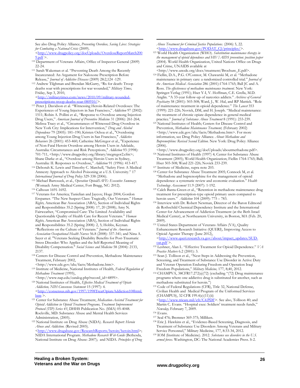See also Drug Policy Alliance, *Preventing Overdose, Saving Lives: Strategies for Combating a National Crisis* (2009).

<http://www.drugpolicy.org/docUploads/OverdoseReportMarch200<br>9.odf >.

- 110 Department of Veterans Affairs, Office of Inspector General (2009) 22-24. 111 Sarah Wakeman et al. "Preventing Death Among the Recently
- Incarcerated: An Argument for Naloxone Prescription Before Release," *Journal of Addictive Diseases* (2009) 28:2,124 -129. 112 Andrew Tilghman and Brendan McGarry, "Rx for death: Troop
- deaths soar with prescriptions for war wounded," *Military Times,*  Friday, Sep 3, 2010,

<http://militarytimes.com/news/2010/09/military-wounded-<br>prescriptions-troop-deaths-soar-080910/>.

- <sup>113</sup> Peter J. Davidson et al. "Witnessing Heroin-Related Overdoses: The Experiences of Young Injectors in San Francisco," *Addiction* 97 (2002): 1511; Robin A. Pollini et al., "Response to Overdose among Injection Drug Users," *American Journal of Preventive Medicine* 31 (2006): 261-264; Melissa Tracy et al., "Circumstances of Witnessed Drug Overdose in New York City: Implications for Intervention," *Drug and Alcohol Dependence* 79 (2005): 181–190; Kristen Ochoa et al., "Overdosing among Young Injection Drug Users in San Francisco," *Addictive Behaviors* 26 (2001): 453-460; Catherine McGregor et al., "Experience of Non-Fatal Heroin Overdose among Heroin Users in Adelaide, Australia: Circumstances and Risk Perceptions," *Addiction* 93 (1998): 701-711, <http://www.drugpolicy.org/library/mcgregor2.cfm>; Shane Darke et al., "Overdose among Heroin Users in Sydney,
- Australia: II. Responses to Overdose," *Addiction* 91 (1996): 413-417. 114 Deborah K. Lewis and Timothy C. Marchell, "Safety First: A Medical Amnesty Approach to Alcohol Poisoning at a U.S. University." 17 *International Journal of Drug Policy* 329-338 (2006). 115 Michael Bartoszek, et al., *Operation OpioidSAFE: Executive Summary*
- (Womack Army Medical Center, Fort Bragg, NC: 2012). 116 Calhoun 1691-1692.
- 

 $\overline{a}$ 

- 117 Veterans for America; Tanielian and Jaycox; Hoge 2004; Gordon Erspamer. "The New Suspect Class: Tragically, Our Veterans." *Human Rights,* American Bar Association (ABA), Section of Individual Rights and Responsibilities 35.2 (Spring 2008): 17, 20 (2008); Amy N. Fairweather, "Compromised Care: The Limited Availability and Questionable Quality of Health Care for Recent Veterans." *Human Rights,* American Bar Association (ABA), Section of Individual Rights and Responsibilities 35.2 (Spring 2008): 2, 5; Hobbs, Keynan. "Reflections on the Culture of Veterans." *Journal of the American Association Occupational Health Nurses* 56.8 (2008): 337-341; and Nina A. Sayer et al. "Veterans Seeking Disability Benefits for Post-Traumatic Stress Disorder: Who Applies and the Self-Reported Meaning of Disability Compensation." *Social Science and Medicine* 58 (2004): 2133,
- 2137. 118 Centers for Disease Control and Prevention, Methadone Maintenance Treatment, February 2002,

- <http://www.cdc.gov/idu/facts/Methadone.htm>. 119 Institute of Medicine, National Institutes of Health, *Federal Regulation of Methadone Treatment* (1995),
- <http://www.nap.edu/catalog.php?record\_id=4899>. 120 National Institutes of Health, *Effective Medical Treatment of Opiate Addiction, NIH Consensus Statement* 15 (1997): 4. <http://consensus.nih.gov/1997/1998TreatOpiateAddiction108html.
- 
- htm >. 121 Center for Substance Abuse Treatment, *Medication-Assisted Treatment for Opioid Addiction in Opioid Treatment Programs, Treatment Improvement Protocol (TIP) Series 43*, DHHS Publication No. (SMA) 05-4048. Rockville, MD: Substance Abuse and Mental Health Services
- Administration, (2005). 122 National Institute on Drug Abuse (NIDA). *Research Report: Heroin Abuse and Addiction.* (Revised 2005).
- <http://www.drugabuse.gov/ResearchReports/heroin/heroin.html>; NIDA International Program. *Methadone Research Web Guide* (Bethesda, National Institute on Drug Abuse: 2007); and NIDA. *Principles of Drug*

 $\overline{a}$ *Abuse Treatment for Criminal Justice Populations*. (2006) 5, 22.

- <http://www.drugabuse.gov/PODAT\_CJ/principles/>. 123 World Health Organization (WHO). *Substitution maintenance therapy in the management of opioid dependence and HIV/AIDS prevention: position paper* (2004). World Health Organization, United Nations Office on Drugs and Crime, UNAIDS available at
- <http://www.unodc.org/docs/treatment/Brochure\_E.pdf>. 124 Fiellin, D.A., P.G. O'Connor, M. Chawarski M, et al. "Methadone maintenance in primary care: a randomized controlled trial." *Journal of the American Medical Association* 286 (2001):1764-1765; Ball JC and A. Ross. *The effectiveness of methadone maintenance treatment.* New York: Springer-Verlag (1991); Hser Y-I, V. Hoffman, C.E. Grella, M.D. Anglin. "A 33-year follow-up of narcotics addicts." *Archives of General Psychiatry* 58 (2001): 503-508; Ward, J., W. Hal, and RP Mattick. "Role of maintenance treatment in opioid dependence." *The Lancet* 353 (1999): 221-226; Novick, DM, and H. Joseph. "Medical maintenance: the treatment of chronic opiate dependence in general medical practice." Journal of Substance Abuse Treatment 8 (1991): 233-239.
- <sup>125</sup> National Institutes of Health; Centers for Disease Control and Prevention, *Methadone Maintenance Treatment,* (February 2002) <http://www.cdc.gov/idu/facts/Methadone.htm>. For more information, see Drug Policy Alliance. *About Methadone and Buprenorphine: Revised Second Edition*. New York: Drug Policy Alliance (2006).<br><http://www.drugpolicy.org/docUploads/aboutmethadone.pdf>.

- 126 National Institutes of Health (1997) 4; Center for Substance Abuse Treatment (2005); World Health Organization; Fiellin 1764-1765; Ball; Hser 503-508; Ward 221-226; Novick 233-239.<br><sup>127</sup> Institute of Medicine, supra note 203.<br><sup>128</sup> Center for Substance Abuse Treatment 2005; Connock M, et al.
- 
- "Methadone and buprenorphine for the management of opioid dependence: a systematic review and economic evaluation." *Health*
- *Technology Assessment* 11.9 (2007): 1-192. 129 Caleb Banta-Green et al., "Retention in methadone maintenance drug treatment for prescription-type opioid primary users compared to
- heroin users." *Addiction* 104 (2009): 775 783.<br><sup>130</sup> Interview with Dr. Robert Newman, Director of the Baron Edmond de Rothschild Chemical Dependency Institute and the International Center for Advancement of Addiction Treatment (at the Beth Israel Medical Center), at Northeastern University, in Boston, MA (Feb. 20, 2009). 131 United States Department of Veterans Affairs (VA), Quality
- Enhancement Research Initiative (QUERI), Improving Access to Opioid Agonist Therapy (June 2012), <http://www.queri.research.va.gov/about/impact\_updates/SUD-oat.pdf >.
- <sup>132</sup> Leshner, Alan I.. "Effective Treatment for Opioid Dependence." *VA*
- *Practice Matters* 6.2 (2001): 3.<br><sup>133</sup> Sean J. Tollison et al., "Next Steps in Addressing the Prevention, Screening, and Treatment of Substance Use Disorder in Active Duty and Veteran Operation Enduring Freedom and Operation Iraqi<br>Freedom Populations," Military Medicine, 177, 8;40, 2012.
- <sup>134</sup> CHAMPVA, 38CFR17.272(a)(72) (excluding "(72) Drug maintenance programs where one addictive drug is substituted for another, such as methadone substituted for heroin.")<br>
<sup>135</sup> Code of Federal Regulations (CFR), Title 32, National Defense,
- Civilian Health and Medical Program of the Uniformed Services (CHAMPUS), 32 CFR 199.4(e)(11)(ii)

<http://www.tricare.mil/cfr/C4.PDF>. See also, Tollison 40; and Martin C. Evans. "Hospital exec: Soldiers' treatment needs funds," *Newsday, February 7, 2009.*<br><sup>136</sup> Evans.<br><sup>137</sup> Seal 476; Bremner 369-375; Milliken.

- 
- 
- <sup>138</sup> Eric J. Hawkins et al., "Evidence-Based Screening, Diagnosis, and Treatment of Substance Use Disorders Among Veterans and Military
- <sup>139</sup> IOM (Institute of Medicine). 2012. Substance use disorders in the U.S. *armed forces.* Washington, DC: The National Academies Press. S-2.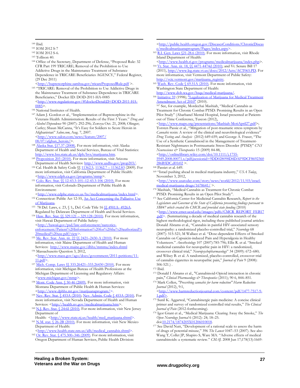- $\overline{a}$
- 
- 140 Ibid. 141 IOM 2012 S-7 142 IOM 2012 S-6. 143 Tollison 40.
- 
- 144 Office of the Secretary, Department of Defense, "Proposed Rule: 32 CFR Part 199 TRICARE; Removal of the Prohibition to Use Addictive Drugs in the Maintenance Treatment of Substance Dependence in TRICARE Beneficiaries AGENCY," Federal Register, (29 Dec 2011)<br>  $\langle \frac{\text{http://buprenorphine.samhsa.gov/tricareProposedRule.pdf}}{\text{http://buprenorphine.samhsa.gov/tricareProposedRule.pdf}} \rangle$ .

- 145 "TRICARE: Removal of the Prohibition to Use Addictive Drugs in the Maintenance Treatment of Substance Dependence in TRICARE Beneficiaries," Docket ID: DOD-2011-HA-0085 <http://www.regulations.gov/#!docketDetail;D=DOD-2011-HA-0085>.<br><sup>146</sup> National Institutes of Health.<br><sup>147</sup> Adam J. Gordon et al., "Implementation of Buprenorphine in the
- 
- Veterans Health Administration: Results of the First 3 Years." *Drug and Alcohol Dependence* 90 (2007): 292-296; Zoroya Oct. 21, 2008; Olinger; Curley; Shaun McCanna, "It's Easy for Soldiers to Score Heroin in Afghanistan" *Salon.com*, Aug. 7, 2007. <http://www.salon.com/news/feature/2007/<br>08/07/afghan\_heroin/>

- 148 Alaska Stat. §17.37 (2008). For more information, visit Alaska Department of Health and Social Services, Bureau of Vital Statistics:<br>http://www.hss.state.ak.us/dph/bys/marijuana.htm.
- <sup>149</sup> Proposition 203 (2010). For more information, visit Arizona
- Department of Health Services: http://www.azdhs.gov/prop203/.<br><sup>150</sup> Cal. Health & Safety Code §§ 1<u>1362.5, 11362.7 11362.83</u> (2009). For more information, visit California Department of Public Health: <http://www.cdph.ca.gov/programs/mmp>. 151 Colo. Rev. Stat. §§ 12-43.3-101–12-43.3-106 (2010). For more
- information, visit Colorado Department of Public Health & Environment:<br><http://www.cdphe.state.co.us/hs/medicalmarijuana/index.html>.
- 152 Connecticut: Public Act 12-55, An Act Concerning the Palliative Use
- of Marijuana. 153 78 Del. Laws, c. 23, § 1;, Del. Code Title 16 §§ 4901A- 4926A.
- Regulated by Delaware Department of Health and Social Services.<br><sup>154</sup> Haw. Rev. Stat. §§ 329.121 329.128 (2010). For more information, visit Hawaii Department of Public Safety: <http://hawaii.gov/psd/law-enforcement/narcoticsenforcement/Patient%20Information%20for%20the%20authorized%<br>20medical%20use.pdf/view>
- 155 Me. Rev. Stat. Ann. tit. 22 §§ 2421–2430-A (2010). For more information, visit Maine Department of Health and Human
- Services: http://www.maine.gov/dhhs/mmma/index.shtml 156 Massachusetts Question 3, 2012, <http://www.mass.gov/ago/docs/government/2011-petitions/11- 11.pdf>. 157 Mich. Comp. Laws §§ 333.26421–333.26430 (2010). For more
- information, visit Michigan Bureau of Health Professions at the Michigan Department of Licensing and Regulatory Affairs: <www.michigan.gov/mmp>. 158 Mont. Code Ann. § 50-46 (2009). For more information, visit
- Montana Department of Public Health & Human Services:
- <http://www.dphhs.mt.gov/marijuanaprogram/>. 159 Nev. Rev. Stat. § 453A (2010); Nev. Admin. Code § 453A (2010). For more information, visit Nevada Department of Health and Human Services:  $\frac{\text{http://health.nv.gov/medicalmariusana.htm}}{$ .
- 160 N.J. Rev. Stat. § 24:6I (2010). For more information, visit New Jersey Department of
- Health: <http://www.state.nj.us/health/med\_marijuana.shtml>. 161 N.M. stat. § 26-2B (2010). For more information, visit New Mexico
- Department of Health:<br>
<http://www.health.state.nm.us/idb/medical\_cannabis.shtml>  $^{162}$  Or. Rev. Stat. § 475.300–346 (2009). For more information, visit.
- Oregon Department of Human Services, Public Health Division:

 $\overline{a}$ <http://public.health.oregon.gov/DiseasesConditions/ChronicDisease/medicalmarijuanaprogram/Pages/index.aspx>

- <sup>163</sup> R.I. Gen. Laws §21-28.6 (2010). For more information, visit Rhode Island Department of Health:<br>
<http://www.health.ri.gov/programs/medicalmarijuana/index.php>
- 164 Vt. Stat. Ann. tit. 18, §§ 4471-4474d (2010); and Vt. Senate Bill 17 (2011), http://www.leg.state.vt.us/docs/2012/Acts/ACT065.PD. For more information, visit Vermont Department of Public Safety:

http://vcic.vermont.gov/marijuana\_registry.<br><sup>165</sup> Wash. Rev. Code § 69.51A (2010). For more information, visit Washington State Department of Health:

- 
- http://www.doh.wa.gov/hsqa/medical-marijuana/.<br><sup>166</sup> Initiative 59 (1998); <u>"Legalization of Marijuana for Medical Treatment</u><br><u>Amendment Act of 2010"</u> (2010).

<sup>167</sup> See, for example, Mordechai Mashiah, "Medical Cannabis as Treatment for Chronic Combat PTSD: Promising Results in an Open Pilot Study" (Abarbanel Mental Hospital, Israel presented at Patients out of Time Conference, Tuscon (2012),

<http://www.maps.org/presentations/Mashiah-MotiApril27.pdf>;

Torsten Passie et al., "Mitigation of post-traumatic stress symptom by *Cannabis* resin: A review of the clinical and neurobiological evidence" *Drug Testing and Analysis* (2012) 649-659; and George A. Fraser, "The Use of a Synthetic Cannabinoid in the Management of Treatment-Resistant Nightmares in Posttraumatic Stress Disorder (PTSD)" *CNS Neuroscience & Therapeutics* 15 (2009) 84-88,

<http://onlinelibrary.wiley.com/doi/10.1111/j.1755-

5949.2008.00071.x/pdf;jsessionid=9DD028098D4DAF9DCF8692360<br>286B5DC.d01t02 >

- 
- <sup>168</sup> Passiet et al. 649.<br><sup>169</sup> "Israel pushing ahead in medical marijuana industry," *USA Toda*y, November 3, 2012,

 $\frac{\text{thttp://www.usatoday.com/story/news/world/2012/11/03/israel-  
medical-marijuana-drugs/1678641/>}$ 

- <sup>170</sup> Mashiah, "Medical Cannabis as Treatment for Chronic Combat PTSD: Promising Results in an Open Pilot Study".
- <sup>171</sup> See California Center for Medicinal Cannabis Research, *Report to the Legislature and Governor of the State of California presenting findings pursuant to SB847 which created the CMCR and provided state funding* (2010) <http://www.cmcr.ucsd.edu/images/pdfs/CMCR\_REPORT\_FEB17 .pdf>. (Summarizing a decade of medical cannabis research of the highest methodological rigor, including these published journal articles:

Donald Abrams et al., "Cannabis in painful HIV-associated sensory neuropathy: a randomized placebo-controlled trial," *Neurology* 68 (2007): 515-521; M Wallace et al. "Dose-dependent Effects of Smoked Cannabis on Capsaicin-induced Pain and Hyperalgesia in Healthy Volunteers." *Anesthesiology* 107 (2007):785-796; Ellis R. et al. "Smoked medicinal cannabis for neuropathic pain in HIV: a randomized, crossover clinical trial," *Neuropsychopharmacology*" 34 (2009): 672–680; and Wilsey B. et al. A randomized, placebo-controlled, crossover trial of cannabis cigarettes in neuropathic pain," *Journal of Pain* 9 (2008):  $^{506-521.)}$  .  $^{^{\rm 172}}$  Ibid.

- 173 Donald I Abrams et al., "Cannabinoid-Opioid interaction in chronic pain," Clinical Pharmacology & Therapeutics (2011); 90 6, 844–851.
- <sup>174</sup> Mark Collen, "Prescribing cannabis for harm reduction" Harm Reduction *Journal* (2012), 9:1,

<http://www.harmreductionjournal.com/content/pdf/1477-7517-9-<br>1.pdf>.

- 175 Sunil K. Aggarwal, "Cannabinergic pain medicine: A concise clinical primer and survey of randomized controlled trial results," *The Clinical*
- *Journal of Pain* (2012-forthcoming). 176 Igor Grant et al., "Medical Marijuana: Clearing Away the Smoke," *The Open Neurology Journal* 6 (2012): 24; 18–25.
- doi:<u>10.2174/1874205X01206010018</u>.<br><sup>177</sup> See David Nutt, "Development of a rational scale to assess the harm of drugs of potential misuse," 396 *The Lancet* 1047–53 (2007). See also Wang T, Collet JP, Shapiro S, Ware MA. "Adverse effects of medical cannabinoids: a systematic review." *CMAJ*. 2008 Jun 17;178(13):1669-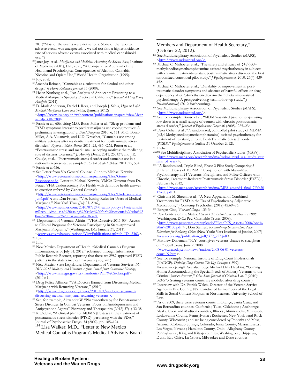78. ("Most of the events were not serious. None of the reported adverse events was unexpected… we did not find a higher incidence rate of serious adverse events associated with medical cannabinoid

- use. ") 178Janet Joy, et al., *Marijuana and Medicine: Assessing the Science Base,* Institute of Medicine (2001); Hall, et al., "A Comparative Appraisal of the Health and Psychological Consequences of Alcohol, Cannabis, Nicotine and Opiate Use," World Health Organization (1995). 179 Joy, et al.
- 

 $\overline{a}$ 

- 180Amanda Reiman, "Cannabis as a substitute for alcohol and other
- drugs," 6 *Harm Reduction Journal* 35 (2009). 181 Helen Nunberg et al., "An Analysis of Applicants Presenting to a Medical Marijuana Specialty Practice in California," *Journal of Drug Policy Analysis* (2011). 182 D. Mark Anderson, Daniel I. Rees, and Joseph J. Sabia, *High on Life?*
- *Medical Marijuana Laws and Suicide,* (January 2012) <http://www.iza.org/en/webcontent/publications/papers/viewAbstract?dp\_id=6280>.
- 183 Passie et al., 656, citing M.O. Bonn-Miller et al., "Sleep problems and PTSD symptoms interact to predict marijuana use coping motives: A preliminary investigation," *J. Dual Diagnosis* 2010, 6, 111; M.O. Bonn-Miller, A.A. Vujanovic, and K.D. Drescher, "Cannabis use among military veterans after residential treatment for posttraumatic stress disorder," *Psychol. Addict. Behav.* 2011, 25, 485; C.M. Potter et al., "Posttraumatic stress and marijuana use coping motives: the mediating role of distress tolerance," *J. Anxiety Disord.* 2011, 25, 437; and J.R. Cougle, et al., "Posttraumatic stress disorder and cannabis use in a
- 
- nationally representative sample," *Psychol. Addict. Behav.* 2011, 25, 554.<br><sup>184</sup> Passie et al 656.<br><sup>185</sup> See Letter from VA General Counsel Gunn to Michael Krawitz: <http://www.veteransformedicalmarijuana.org/files/Gunn-Response.pdf>; Letter to Michael Krawitz, VMCA Director from Dr. Petzel, VHA Undersecretary For Health with definitive health answer to question referred by General Counsel:

<http://www.veteransformedicalmarijuana.org/files/Undersecretary-Jun6.pdf>; and Dan Frosch, "V.A. Easing Rules for Users of Medical Marijuana," *New York Times (July 23, 2010),* 

*<*http://www.nytimes.com/2010/07/24/health/policy/24veterans.ht ml?scp=1&sq=v.a.%20easing%20rules%20for%20patients%20who%2<br>0use%20medical%20marijuana&st=cse>

- <sup>186</sup> Department of Veterans Affairs, "VHA Directive 2011-004: Access to Clinical Programs for Veterans Participating in State-Approved Marijuana Programs," (Washington, DC: January 31, 2011),<br>  $\langle$ www.va.gov/vhapublications/ViewPublication.asp?pub\_ID=2362>
- 
- <sup>187</sup> Ibid.<br><sup>189</sup> Ibid.<br><sup>189</sup> New Mexico Department of Health, "Medical Cannabis Program Information, as of July 31, 2012," (obtained through Information Public Records Request, reporting that there are 2987 approved PTSD
- patients in the state's medical marijuana program.) 190 New Mexico State Legislature, Department of Veterans Services, *FY 2011-2012 Military and Veterans Affairs Initial Joint Committee Hearing,* <http://www.nmlegis.gov/lcs/handouts/Pam%20Stokes.pdf> (2011): 1**.**

191 Drug Policy Alliance, "VA Doctors Banned from Discussing Medical Marijuana with Returning Veterans," (2010) <http://www.drugpolicy.org/news/2010/03/va-doctors-banned-discussing-medical-marijuana-returning-veterans>.

- <sup>192</sup> See, for example, Alexander W "Pharmacotherapy for Post-traumatic Stress Disorder In Combat Veterans: Focus on Antidepressants and
- Antipsychotic Agents" Pharmacy and Therapeutics (2012) 37(1) 32-38 193 R. Doblin, "A clinical plan for MDMA (Ecstasy) in the treatment of posttraumatic stress disorder (PTSD): partnering with the FDA," Journal of Psychoactive Drugs, 34 (2002), pp. 185–194.

<sup>194</sup> Lisa Walker, M.D., "Letter to New Mexico Medical Cannabis Program's Medical Advisory Board

#### Members and Department of Health Secretary," (October 22, 2012).

- 195 See Multidisciplinary Association of Psychedelic Studies (MAPS), <http://www.mdmaptsd.org/>.
- <sup>196</sup> Michael C. Mithoefer et al., "The safety and efficacy of  $\{+/-\}3,4$ methylenedioxymethamphetamine-assisted psychotherapy in subjects with chronic, treatment-resistant posttraumatic stress disorder: the first randomized controlled pilot study," *J Psychopharmacol,* 2010. 25(4): 439-

197 Michael C. Mithoefer et al., "Durability of improvement in posttraumatic disorder symptoms and absence of harmful effects or drug dependency after 3,4-methylenedioxymethamphetamine-assisted psychotherapy: A prospective long-term follow-up study," *J* 

- *Psychopharmacol,* (2012 forthcoming). 198 See Multidisciplinary Association of Psychedelic Studies (MAPS),
- <sup>199</sup> See for example, Bouso et al., "MDMA-assisted psychotherapy using low doses in a small sample of women with chronic posttraumatic stress disorder," Journal of Psychoactive Drugs 40 (2008): 225-236.
- <sup>200</sup> Peter Oehen et al., "A randomized, controlled pilot study of MDMA (±3,4-Methylenedioxymethamphetamine)-assisted psychotherapy for treatment of resistant, chronic Post-Traumatic Stress Disorder (PTSD)," *Psychopharmacol* (online 31 October 2012). 201 Oehen. 202202 See Multidisciplinary Association of Psychedelic Studies (MAPS),
- 

 $\overline{a}$ 

- <http://www.maps.org/research/mdma/mdma\_ptsd\_u.s.\_study\_vete rans\_of\_war/>.<br><sup>203</sup> "A Randomized, Triple-Blind, Phase 2 Pilot Study Comparing 3
- Different Doses of MDMA in Conjunction with Manualized Psychotherapy in 24 Veterans, Firefighters, and Police Officers with Chronic, Treatment-Resistant Posttraumatic Stress Disorder (PTSD)", February 6, 2012,

 $\frac{\text{thttp://www.maps.org/rescarch/mdma/MP8\_amend4\_final\_7Feb20}}{12 \text{web.pdf}}$ 

- <sup>204</sup> Christina M. Sheerin et al., "A New Appraisal of Combined Treatments for PTSD in the Era of Psychotherapy Adjunctive
- 
- Medications," J Contemp Psychother (2012) 42:69–76. 205 Bergen-Cico, *War and Drugs,* 133-34. 206 Pew Centers on the States. *One in 100: Behind Bars in America 2008.*  (Washington, D.C.: Pew Charitable Trusts, 2008), <http://www.pewstates.org/uploadedFiles/PCS\_Assets/2008/one% 20in%20100.pdf > *;* Don Stemen. *Reconsidering Incarceration: New Directions for Reducing Crime* (New York: Vera Institute of Justice, 2007) <<u>www.vera.org/publication\_pdf/379\_727.pdf</u>>. <sup>207</sup> Matthew Daneman, "N.Y. court gives veterans chance to straighten
- out." *USA Today*. June 2, 2008.

 $\frac{\text{www.usatoday.com/news/nation}/2008-06-01-veterans-court-N.htm>}.$ 

- <sup>208</sup> See for example, National Institute of Drug Court Professionals (NADCP). *Defining Drug Courts: The Key Concepts* (1997). <www.nadcp.org>. See also Judge Michael Daly Hawkins, "Coming Home: Accommodating the Special Needs of Military Veterans to the Criminal Justice System," *Ohio State Journal of Criminal Law* 7 (2010): 563-573 (stating veterans courts are modeled after drug courts.) 209 Interview with Dr. Patrick Welch, Director of the Veteran Service
- Agency in Erie County, NY. Conducted by members of the Legal Skills in Social Context Program at Northeastern University School of
- Law. 210 As of 2009, there were veterans courts in Orange, Santa Clara, and San Bernardino counties, California ; Tulsa, Oklahoma ; Anchorage, Alaska; Cook and Madison counties, Illinois ; Minneapolis, Minnesota; Lackawanna County, Pennsylvania ; Rochester, New York ; and Rock County, Wisconsin ; and are being considered by Phoenix and Mesa, Arizona ; Colorado Springs, Colorado; Ionia County, Massachusetts ; Las Vegas, Nevada ; Hamilton County, Ohio ; Alleghany County, Pennsylvania ; King and Kitsap counties, Washington ; Chippewa, Dunn, Eau Claire, La Crosse, Milwaukee and Dane counties,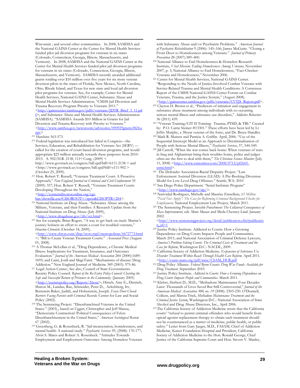$\overline{a}$ Wisconsin ; and several other communities. In 2008, SAMHSA and the National GAINS Center at the Center for Mental Health Services funded pilot jail diversion programs for veterans in six states (Colorado, Connecticut, Georgia, Illinois, Massachusetts, and Vermont). In 2008, SAMHSA and the National GAINS Center at the Center for Mental Health Services funded pilot jail diversion programs for veterans in six states (Colorado, Connecticut, Georgia, Illinois, Massachusetts, and Vermont). SAMHSA recently awarded additional grants totaling over \$10 million over five years for six more veteran diversion pilots in the states of Florida, New Mexico, North Carolina, Ohio, Rhode Island, and Texas for new state and local jail diversion pilot programs for veterans. See, for example, Center for Mental Health Services, National GAINS Center, Substance Abuse and Mental Health Services Administration, "CMHS Jail Diversion and Trauma Recovery Program Priority to Veterans 2011." <http://gainscenter.samhsa.gov/pdfs/veterans/JDTR\_Brief\_3\_11.pd f>; and Substance Abuse and Mental Health Services Administration (SAMHSA). "SAMHSA Awards \$10 Million in Grants for Jail Diversion and Trauma Recovery with Priority to Veterans." <http://www.samhsa.gov/newsroom/advisories/090929grants3824.a spx> 211 Hawkins 563-573. 212 Federal legislation was introduced but failed in Congress—the

Services, Education, and Rehabilitation for Veterans Act (SERV) called for the creation of court-based diversion programs, and would appropriate \$25 million annually towards these purposes from 2010- 2015. S. 902/H.R. 2138, 111<sup>th</sup> Cong. (2009) <

http://www.govtrack.us/congress/bill.xpd?bill=h111-2138 > and <http://www.govtrack.us/congress/bill.xpd?bill=s111-902 > (October 25, 2009).

<sup>213</sup> Hon. Robert T. Russell, "Veterans Treatment Court: A Proactive Approach," *New England Journal on Criminal and Civil Confinement* 35 (2009): 357; Hon. Robert T. Russell, "Veterans Treatment Courts Developing Throughout the Nation,"

%<http://contentdm.ncsconline.org/cgi-<br>bin/showfile.exe?CISOROOT=/spcts&CISOPTR=204>.

<sup>214</sup> National Institute on Drug Abuse. "Substance Abuse among the Military, Veterans, and their Families: A Research Update from the National Institute on Drug Abuse (July 2009),<br>
<http://www.drugabuse.gov/tib/vet.html>

<sup>215</sup> See for example, Brian Rogers. "A way to get back on track: Marine's journey bolsters an effort to create a court for troubled veterans," *Houston Chronicle* (October 18, 2009), <http://www.chron.com/disp/story.mpl/metropolitan/6672773.html >; "Bill to Create Veteran Treatment Courts." *Associated Press* (August

01, 2008). 216 A Thomas McLellan et al., "Drug Dependence, a Chronic Medical

- Illness: Implications for Treatment, Insurance, and Outcomes Evaluation." *Journal of the American Medical Association* 284 (2000):1689- 1695; and Camí, Jordi and Magí Farré. "Mechanisms of disease: Drug Addiction." New England Journal of Medicine 349 (2003): 975-86. 217 Legal Action Center.; See also, Council of State Governments.
- Reentry Policy Council. *Report of the Re-Entry Policy Council: Charting the Safe and Successful Return of Prisoners to the Community.* (January 2005) <http://reentrypolicy.org/Report/About>; Hirsch, Amy E., Dietrich, Sharon M., Landau, Rue, Schneider, Peter D., Ackelsberg, Irv, Bernstein-Baker, Judith, and Hohenstein, Joseph. *Every Door Closed: Barriers Facing Parents with Criminal Records.* Center for Law and Social Policy (2002). 218 The Sentencing Project. "Disenfranchised Veterans in the United
- States." (2003)., based on Uggen, Christopher and Jeff Manza, "Democratic Contraction? Political Consequences of Felon Disenfranchisement in the United States," *American Sociological Review*
- 67 (2002)..<br><sup>219</sup> Greenberg, G. & Rosenheck, R. "Jail incarceration, homelessness, and mental health: A national study." *Psychiatric Services* 59, (2008): 170-177; Alvin S. Mares and Robert A. Rosenheck. "Attitudes Towards Employment and Employment Outcomes Among Homeless Veterans

 $\overline{a}$ with Substance Abuse and/or Psychiatric Problems." *American Journal of Psychiatric Rehabilitation* 9 (2006): 145–166; James McGuire. "Closing a Front Door to Homelessness among Veterans." *Journal of Primary* 

- *Prevention* 28 (2007):389–400.<br><sup>220</sup> National Alliance to End Homelessness & Homeless Research Institute, *Vital Mission: Ending Homelessness Among Veterans*, November 2007, p. 3; National Alliance to End Homelessness, "Fact-Checker:
- <sup>221</sup> Center for Mental Health Services, National GAINS Center. "Responding to the Needs of Justice-Involved Combat Veterans with Service-Related Trauma and Mental Health Conditions: A Consensus Report of the CMHS National GAINS Center Forum on Combat Veterans, Trauma, and the Justice System," (August 2008).
- <http://gainscenter.samhsa.gov/pdfs/veterans/CVTJS\_Report.pdf>. 222 Clayton H. Brown et al., "Predictors of initiation and engagement in substance abuse treatment among individuals with co-occurring serious mental illness and substance use disorders," *Addictive Behaviors*
- 36 (2011) 439. 223 "Veteran Training/CIT II Training: Trauma, PTSD, & TBI." Created by: P.O. Carrie Steiner #13301." These efforts have been led by Lt
- Jeffry Murphy, a 38year veteran of the force, and Dr. Bruce Handler. 224 Mark R. Munetz and Patricia A. Griffin. April, 2006. "Use of the Sequential Intercept Model as an Approach to Decriminalization of
- People with Serious Mental Illness," *Psychiatric Services*, 57, 544-549. 225 Jill Carroll, "When the war comes back home: When veterans of wars in Iraq and Afghanistan bring their troubles home, police and judges often are the first to deal with them," *The Christian Science Monitor* (July 11, 2008) <http://www.csmonitor.com/2008/0712/p02s01-
- usmi.html>.<br><sup>226</sup> The Defender Association-Racial Disparity Project. "Law Enforcement Assisted Diversion (LEAD): A Pre-Booking Diversion
- Model for Low-Level Drug Offenses." Seattle, WA: 2010 227 San Diego Police Department. "Serial Inebriate Program"
- <http://www.sandiego.gov/sip/>. 228 Natividad Rodriguez, Michelle and Maurice Emsellem, *65 Million "Need Not Apply": The Case for Reforming Criminal Background Checks for*
- *Employment,* National Employment Law Project, March 2011. 229 The Sentencing Project. *Invisible Punishment: The Collateral Consequences of Mass Imprisonment*, eds. Marc Mauer and Meda Chesney-Lind. January 2002.

<http://www.sentencingproject.org/detail/publication.cfm?publicatio  $n$  id=1

- 230 Justice Policy Institute. Addicted to Courts: How a Growing Dependence on Drug Courts Impacts People and Communities. March 2011; and National Association of Criminal Defense Lawyers, *America's Problem-Solving Courts: The Criminal Costs of Treatment and the*
- <sup>231</sup> California Society of Addiction Medicine. *Expansion of Substance Use Disorder Treatment Within Reach Through Health Care Reform*. April 2011. <http://csam-asam.org/pdf/misc/CSAM\_HCR.pdf
- 232 Drug Policy Alliance. *Federal Byrne Grants: Drug War Funds Available for*
- <sup>233</sup> Justice Policy Institute. *Addicted to Courts: How a Growing Dependence on*
- *Drug Courts Impacts People and Communities.* March 2011. 234 Kleber, Herbert D., M.D., "Methadone Maintenance Four Decades Later: Thousands of Lives Saved But Still Controversial," *Journal of the American Medical Association 300, no. 19* (2008): 2303-230. O'Donnell, Colleen, and Marcia Trick, *Methadone Maintenance Treatment and the Criminal Justice System*, Washington D.C.: National Association of State
- Alcohol and Drug Abuse Directors, Inc., April 2006. 235 The California Society of Addiction Medicine wrote that the California courts' "refusal to permit criminal offenders who would benefit from opioid agonist replacement therapy to obtain such treatment should not be countenanced as a matter of medicine, public health, or public safety." Letter from Gary Jaeger, M.D., FASAM, Chief of Addiction Medicine, Kaiser Foundation Hospital and President, California Society of Addiction Medicine to the Hon. Ronald George, Chief Justice of the California Supreme Court and Hon. Steven V. Manley,